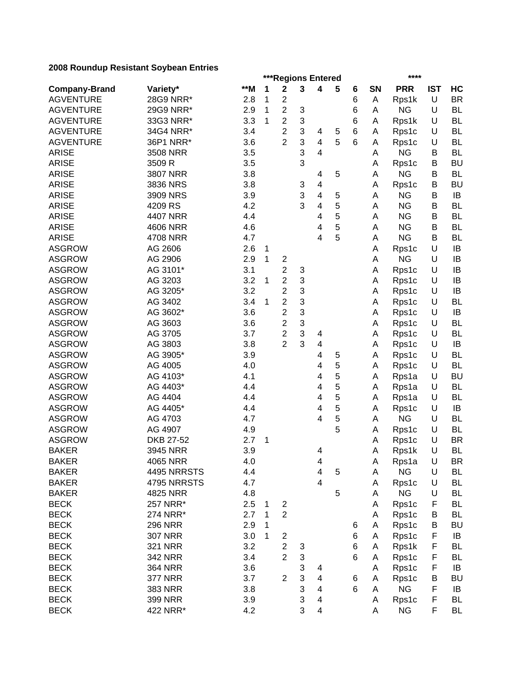|                      |                 |            |   | ***Regions Entered      |   |                          |   |        |    | ****               |            |                 |
|----------------------|-----------------|------------|---|-------------------------|---|--------------------------|---|--------|----|--------------------|------------|-----------------|
| <b>Company-Brand</b> | Variety*        | $**M$      | 1 | $\mathbf 2$             | 3 | 4                        | 5 | 6      | SN | <b>PRR</b>         | <b>IST</b> | HC              |
| <b>AGVENTURE</b>     | 28G9 NRR*       | 2.8        | 1 | $\boldsymbol{2}$        |   |                          |   | 6      | Α  | Rps1k              | U          | <b>BR</b>       |
| <b>AGVENTURE</b>     | 29G9 NRR*       | 2.9        | 1 | $\overline{2}$          | 3 |                          |   | 6      | A  | <b>NG</b>          | U          | <b>BL</b>       |
| <b>AGVENTURE</b>     | 33G3 NRR*       | 3.3        | 1 | $\overline{2}$          | 3 |                          |   | 6      | A  | Rps1k              | U          | <b>BL</b>       |
| <b>AGVENTURE</b>     | 34G4 NRR*       | 3.4        |   | $\overline{2}$          | 3 | 4                        | 5 | 6      | A  | Rps1c              | U          | <b>BL</b>       |
| <b>AGVENTURE</b>     | 36P1 NRR*       | 3.6        |   | $\overline{2}$          | 3 | $\overline{\mathcal{A}}$ | 5 | 6      | Α  | Rps1c              | U          | <b>BL</b>       |
| <b>ARISE</b>         | 3508 NRR        | 3.5        |   |                         | 3 | $\overline{4}$           |   |        | A  | <b>NG</b>          | В          | <b>BL</b>       |
| <b>ARISE</b>         | 3509 R          | 3.5        |   |                         | 3 |                          |   |        | Α  | Rps1c              | B          | <b>BU</b>       |
| <b>ARISE</b>         | <b>3807 NRR</b> | 3.8        |   |                         |   | 4                        | 5 |        | Α  | <b>NG</b>          | B          | <b>BL</b>       |
| <b>ARISE</b>         | 3836 NRS        | 3.8        |   |                         | 3 | $\overline{\mathbf{4}}$  |   |        | Α  | Rps1c              | B          | <b>BU</b>       |
| <b>ARISE</b>         | 3909 NRS        | 3.9        |   |                         | 3 | 4                        | 5 |        | Α  | <b>NG</b>          | В          | IB              |
| <b>ARISE</b>         | 4209 RS         | 4.2        |   |                         | 3 | 4                        | 5 |        | Α  | <b>NG</b>          | В          | <b>BL</b>       |
| <b>ARISE</b>         | 4407 NRR        | 4.4        |   |                         |   | 4                        | 5 |        | A  | <b>NG</b>          | В          | <b>BL</b>       |
| <b>ARISE</b>         | <b>4606 NRR</b> | 4.6        |   |                         |   | 4                        | 5 |        | Α  | <b>NG</b>          | В          | <b>BL</b>       |
| <b>ARISE</b>         | 4708 NRR        | 4.7        |   |                         |   | 4                        | 5 |        | А  | <b>NG</b>          | B          | <b>BL</b>       |
| <b>ASGROW</b>        | AG 2606         | 2.6        | 1 |                         |   |                          |   |        | А  | Rps1c              | U          | IB              |
| <b>ASGROW</b>        | AG 2906         | 2.9        | 1 | $\overline{\mathbf{c}}$ |   |                          |   |        | Α  | <b>NG</b>          | U          | IB              |
| <b>ASGROW</b>        | AG 3101*        | 3.1        |   | $\overline{c}$          | 3 |                          |   |        | А  | Rps1c              | U          | IB              |
| <b>ASGROW</b>        | AG 3203         | 3.2        | 1 | $\overline{\mathbf{c}}$ | 3 |                          |   |        | Α  | Rps1c              | $\cup$     | IB              |
| <b>ASGROW</b>        | AG 3205*        | 3.2        |   | $\overline{c}$          | 3 |                          |   |        | Α  | Rps1c              | $\cup$     | IB              |
| <b>ASGROW</b>        | AG 3402         | 3.4        | 1 | $\overline{c}$          | 3 |                          |   |        | Α  | Rps1c              | $\cup$     | <b>BL</b>       |
| <b>ASGROW</b>        | AG 3602*        | 3.6        |   | $\overline{2}$          | 3 |                          |   |        | Α  | Rps1c              | $\cup$     | IB              |
| <b>ASGROW</b>        | AG 3603         | 3.6        |   | $\overline{c}$          | 3 |                          |   |        | Α  | Rps1c              | U          | <b>BL</b>       |
| <b>ASGROW</b>        | AG 3705         | 3.7        |   | $\overline{c}$          | 3 | 4                        |   |        | А  | Rps1c              | U          | <b>BL</b>       |
| <b>ASGROW</b>        | AG 3803         | 3.8        |   | $\overline{2}$          | 3 | $\overline{\mathbf{4}}$  |   |        | Α  | Rps1c              | U          | IB              |
| <b>ASGROW</b>        | AG 3905*        | 3.9        |   |                         |   | 4                        | 5 |        | A  | Rps1c              | $\cup$     | <b>BL</b>       |
| <b>ASGROW</b>        | AG 4005         | 4.0        |   |                         |   | 4                        | 5 |        | Α  | Rps1c              | U          | <b>BL</b>       |
| <b>ASGROW</b>        | AG 4103*        | 4.1        |   |                         |   | 4                        | 5 |        | A  | Rps1a              | U          | <b>BU</b>       |
| <b>ASGROW</b>        | AG 4403*        | 4.4        |   |                         |   | 4                        | 5 |        | A  | Rps1a              | U          | <b>BL</b>       |
| <b>ASGROW</b>        | AG 4404         | 4.4        |   |                         |   | 4                        | 5 |        | A  | Rps1a              | U          | <b>BL</b>       |
| <b>ASGROW</b>        | AG 4405*        | 4.4        |   |                         |   | 4                        | 5 |        | A  | Rps1c              | U          | IB              |
| <b>ASGROW</b>        | AG 4703         | 4.7        |   |                         |   | 4                        | 5 |        | Α  | <b>NG</b>          | U          | <b>BL</b>       |
| <b>ASGROW</b>        | AG 4907         | 4.9        |   |                         |   |                          | 5 |        | Α  | Rps1c              | U          | <b>BL</b>       |
| <b>ASGROW</b>        | DKB 27-52       | 2.7        | 1 |                         |   |                          |   |        | Α  | Rps1c              | U          | <b>BR</b>       |
| <b>BAKER</b>         | 3945 NRR        | 3.9        |   |                         |   | 4                        |   |        | Α  | Rps1k              | U          | <b>BL</b>       |
| <b>BAKER</b>         | 4065 NRR        | 4.0        |   |                         |   | 4                        |   |        | A  | Rps1a              | U          | <b>BR</b>       |
| <b>BAKER</b>         | 4495 NRRSTS     | 4.4        |   |                         |   | 4                        | 5 |        | Α  | <b>NG</b>          | U          | BL              |
| <b>BAKER</b>         | 4795 NRRSTS     | 4.7        |   |                         |   | $\overline{\mathbf{4}}$  |   |        | Α  | Rps1c              | $\cup$     | <b>BL</b>       |
| <b>BAKER</b>         | 4825 NRR        | 4.8        |   |                         |   |                          | 5 |        | Α  | <b>NG</b>          | U          | <b>BL</b>       |
| <b>BECK</b>          | 257 NRR*        | 2.5        | 1 | $\overline{\mathbf{c}}$ |   |                          |   |        | Α  | Rps1c              | F          | <b>BL</b>       |
| <b>BECK</b>          | 274 NRR*        | 2.7        | 1 | $\overline{2}$          |   |                          |   |        | Α  | Rps1c              | B          | <b>BL</b>       |
| <b>BECK</b>          | <b>296 NRR</b>  | 2.9        | 1 |                         |   |                          |   | 6      | A  | Rps1c              | B          | <b>BU</b>       |
| <b>BECK</b>          | <b>307 NRR</b>  | 3.0        | 1 | $\overline{c}$          |   |                          |   | 6      | Α  | Rps1c              | F          | IB              |
| <b>BECK</b>          | <b>321 NRR</b>  | 3.2        |   | $\overline{c}$          | 3 |                          |   | 6      | A  | Rps1k              | F          | BL              |
| <b>BECK</b>          | 342 NRR         | 3.4        |   | $\overline{2}$          | 3 |                          |   | 6      | Α  | Rps1c              | F          | <b>BL</b>       |
| <b>BECK</b>          | <b>364 NRR</b>  |            |   |                         | 3 |                          |   |        |    |                    | F          |                 |
| <b>BECK</b>          | <b>377 NRR</b>  | 3.6<br>3.7 |   | $\overline{2}$          | 3 | 4<br>4                   |   |        | A  | Rps1c              | В          | IB<br><b>BU</b> |
| <b>BECK</b>          |                 |            |   |                         | 3 |                          |   | 6<br>6 | Α  | Rps1c<br><b>NG</b> | F          |                 |
|                      | <b>383 NRR</b>  | 3.8        |   |                         |   | 4                        |   |        | Α  |                    |            | IB              |
| <b>BECK</b>          | <b>399 NRR</b>  | 3.9        |   |                         | 3 | 4                        |   |        | Α  | Rps1c              | F          | <b>BL</b>       |
| <b>BECK</b>          | 422 NRR*        | 4.2        |   |                         | 3 | $\overline{\mathbf{4}}$  |   |        | Α  | <b>NG</b>          | F          | <b>BL</b>       |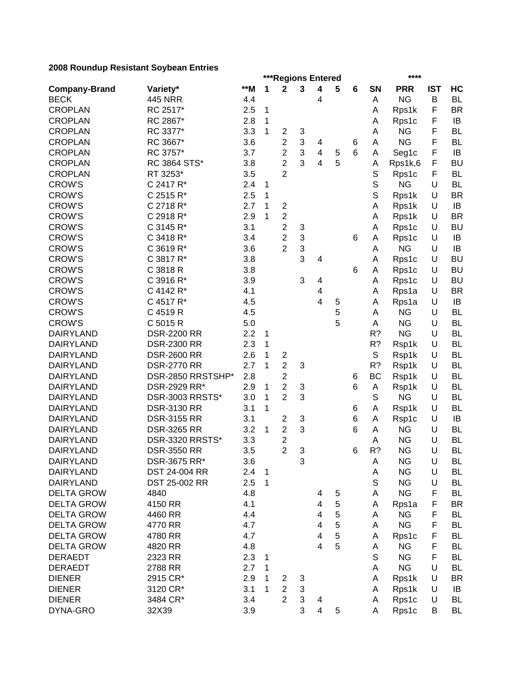|                      | ***Regions Entered |     |              |                                           |   |                         |             |   |             | ****       |            |           |
|----------------------|--------------------|-----|--------------|-------------------------------------------|---|-------------------------|-------------|---|-------------|------------|------------|-----------|
| <b>Company-Brand</b> | Variety*           | **M | 1            | $\mathbf 2$                               | 3 | 4                       | 5           | 6 | SN          | <b>PRR</b> | <b>IST</b> | HC        |
| <b>BECK</b>          | <b>445 NRR</b>     | 4.4 |              |                                           |   | 4                       |             |   | А           | <b>NG</b>  | B          | <b>BL</b> |
| <b>CROPLAN</b>       | RC 2517*           | 2.5 | $\mathbf 1$  |                                           |   |                         |             |   | Α           | Rps1k      | F          | <b>BR</b> |
| <b>CROPLAN</b>       | RC 2867*           | 2.8 | $\mathbf 1$  |                                           |   |                         |             |   | Α           | Rps1c      | F          | IB        |
| <b>CROPLAN</b>       | RC 3377*           | 3.3 | $\mathbf{1}$ | $\overline{c}$                            | 3 |                         |             |   | A           | <b>NG</b>  | F          | <b>BL</b> |
| <b>CROPLAN</b>       | RC 3667*           | 3.6 |              | $\overline{c}$                            | 3 | 4                       |             | 6 | Α           | <b>NG</b>  | F          | <b>BL</b> |
| <b>CROPLAN</b>       | RC 3757*           | 3.7 |              | $\overline{c}$                            | 3 | $\overline{\mathbf{4}}$ | 5           | 6 | Α           | Seg1c      | F          | IB        |
| <b>CROPLAN</b>       | RC 3864 STS*       | 3.8 |              | $\overline{c}$                            | 3 | $\overline{4}$          | 5           |   | Α           | Rps1k,6    | F          | <b>BU</b> |
| <b>CROPLAN</b>       | RT 3253*           | 3.5 |              | $\overline{2}$                            |   |                         |             |   | S           | Rps1c      | F          | <b>BL</b> |
| <b>CROW'S</b>        | C 2417 R*          | 2.4 | 1            |                                           |   |                         |             |   | S           | <b>NG</b>  | U          | <b>BL</b> |
| <b>CROW'S</b>        | C 2515 R*          | 2.5 | 1            |                                           |   |                         |             |   | S           | Rps1k      | U          | <b>BR</b> |
| <b>CROW'S</b>        | C 2718 R*          | 2.7 | 1            | $\overline{\mathbf{c}}$                   |   |                         |             |   | Α           | Rps1k      | U          | IB        |
| <b>CROW'S</b>        | C 2918 R*          | 2.9 | 1            | $\overline{c}$                            |   |                         |             |   | Α           | Rps1k      | U          | <b>BR</b> |
| <b>CROW'S</b>        | C 3145 R*          | 3.1 |              | $\overline{c}$                            | 3 |                         |             |   | A           | Rps1c      | U          | <b>BU</b> |
| <b>CROW'S</b>        | C 3418 R*          | 3.4 |              | $\overline{c}$                            | 3 |                         |             | 6 | Α           | Rps1c      | U          | IB        |
| <b>CROW'S</b>        | C 3619 R*          | 3.6 |              | $\overline{2}$                            | 3 |                         |             |   | Α           | <b>NG</b>  | U          | IB        |
| <b>CROW'S</b>        | C 3817 R*          | 3.8 |              |                                           | 3 | 4                       |             |   | Α           | Rps1c      | U          | <b>BU</b> |
| <b>CROW'S</b>        | C 3818 R           | 3.8 |              |                                           |   |                         |             | 6 | Α           | Rps1c      | U          | <b>BU</b> |
| <b>CROW'S</b>        | C 3916 R*          | 3.9 |              |                                           | 3 | 4                       |             |   | Α           | Rps1c      | U          | <b>BU</b> |
| <b>CROW'S</b>        | C 4142 R*          | 4.1 |              |                                           |   | 4                       |             |   | Α           | Rps1a      | U          | <b>BR</b> |
| <b>CROW'S</b>        | C 4517 R*          | 4.5 |              |                                           |   | $\overline{4}$          | 5           |   | Α           | Rps1a      | U          | IB        |
| <b>CROW'S</b>        | C 4519 R           | 4.5 |              |                                           |   |                         | 5           |   | A           | <b>NG</b>  | U          | <b>BL</b> |
| <b>CROW'S</b>        | C 5015 R           | 5.0 |              |                                           |   |                         | 5           |   | A           | <b>NG</b>  | U          | <b>BL</b> |
| <b>DAIRYLAND</b>     | <b>DSR-2200 RR</b> | 2.2 | 1            |                                           |   |                         |             |   | R?          | <b>NG</b>  | U          | <b>BL</b> |
| <b>DAIRYLAND</b>     | <b>DSR-2300 RR</b> | 2.3 | 1            |                                           |   |                         |             |   | R?          | Rsp1k      | U          | <b>BL</b> |
| <b>DAIRYLAND</b>     | <b>DSR-2600 RR</b> | 2.6 | 1            | 2                                         |   |                         |             |   | $\mathbb S$ | Rsp1k      | U          | <b>BL</b> |
| <b>DAIRYLAND</b>     | <b>DSR-2770 RR</b> | 2.7 | 1            | $\overline{2}$                            | 3 |                         |             |   | R?          | Rsp1k      | U          | <b>BL</b> |
| <b>DAIRYLAND</b>     | DSR-2850 RRSTSHP*  | 2.8 |              | $\overline{c}$                            |   |                         |             | 6 | BC          | Rsp1k      | U          | <b>BL</b> |
| <b>DAIRYLAND</b>     | DSR-2929 RR*       | 2.9 | 1            | $\overline{c}$                            | 3 |                         |             | 6 | Α           | Rsp1k      | U          | <b>BL</b> |
| <b>DAIRYLAND</b>     | DSR-3003 RRSTS*    | 3.0 | 1            | $\overline{2}$                            | 3 |                         |             |   | S           | <b>NG</b>  | U          | <b>BL</b> |
| <b>DAIRYLAND</b>     | <b>DSR-3130 RR</b> | 3.1 | 1            |                                           |   |                         |             | 6 | Α           | Rsp1k      | U          | <b>BL</b> |
| <b>DAIRYLAND</b>     | <b>DSR-3155 RR</b> | 3.1 |              | $\overline{\mathbf{c}}$                   | 3 |                         |             | 6 | Α           | Rsp1c      | U          | IB        |
| <b>DAIRYLAND</b>     | <b>DSR-3265 RR</b> | 3.2 | 1            | $\overline{c}$                            | 3 |                         |             | 6 | A           | <b>NG</b>  | U          | <b>BL</b> |
| <b>DAIRYLAND</b>     | DSR-3320 RRSTS*    | 3.3 |              |                                           |   |                         |             |   | A           | <b>NG</b>  | U          | <b>BL</b> |
| <b>DAIRYLAND</b>     | <b>DSR-3550 RR</b> | 3.5 |              | $\overline{\mathbf{c}}$<br>$\overline{2}$ | 3 |                         |             | 6 | R?          | <b>NG</b>  | U          | <b>BL</b> |
|                      |                    | 3.6 |              |                                           | 3 |                         |             |   |             | <b>NG</b>  | U          | BL        |
| DAIRYLAND            | DSR-3675 RR*       |     |              |                                           |   |                         |             |   | A           |            |            |           |
| <b>DAIRYLAND</b>     | DST 24-004 RR      | 2.4 | $\mathbf{1}$ |                                           |   |                         |             |   | Α           | <b>NG</b>  | U          | BL        |
| <b>DAIRYLAND</b>     | DST 25-002 RR      | 2.5 | 1            |                                           |   |                         |             |   | $\mathbb S$ | <b>NG</b>  | U          | <b>BL</b> |
| <b>DELTA GROW</b>    | 4840               | 4.8 |              |                                           |   | 4                       | $\,$ 5 $\,$ |   | А           | <b>NG</b>  | F          | <b>BL</b> |
| <b>DELTA GROW</b>    | 4150 RR            | 4.1 |              |                                           |   | 4                       | 5           |   | Α           | Rps1a      | F          | <b>BR</b> |
| <b>DELTA GROW</b>    | 4460 RR            | 4.4 |              |                                           |   | 4                       | 5           |   | Α           | <b>NG</b>  | F          | <b>BL</b> |
| <b>DELTA GROW</b>    | 4770 RR            | 4.7 |              |                                           |   | 4                       | 5           |   | Α           | <b>NG</b>  | F          | BL        |
| <b>DELTA GROW</b>    | 4780 RR            | 4.7 |              |                                           |   | 4                       | 5           |   | Α           | Rps1c      | F          | BL        |
| <b>DELTA GROW</b>    | 4820 RR            | 4.8 |              |                                           |   | $\overline{\mathbf{4}}$ | 5           |   | Α           | <b>NG</b>  | F          | BL        |
| <b>DERAEDT</b>       | 2323 RR            | 2.3 | 1            |                                           |   |                         |             |   | S           | <b>NG</b>  | F          | BL        |
| <b>DERAEDT</b>       | 2788 RR            | 2.7 | 1            |                                           |   |                         |             |   | А           | <b>NG</b>  | U          | BL        |
| <b>DIENER</b>        | 2915 CR*           | 2.9 | 1            | $\overline{c}$                            | 3 |                         |             |   | Α           | Rps1k      | U          | <b>BR</b> |
| <b>DIENER</b>        | 3120 CR*           | 3.1 | 1            | $\boldsymbol{2}$                          | 3 |                         |             |   | Α           | Rps1k      | U          | IB        |
| <b>DIENER</b>        | 3484 CR*           | 3.4 |              | $\overline{2}$                            | 3 | 4                       |             |   | Α           | Rps1c      | U          | <b>BL</b> |
| DYNA-GRO             | 32X39              | 3.9 |              |                                           | 3 | $\overline{4}$          | 5           |   | A           | Rps1c      | B          | BL        |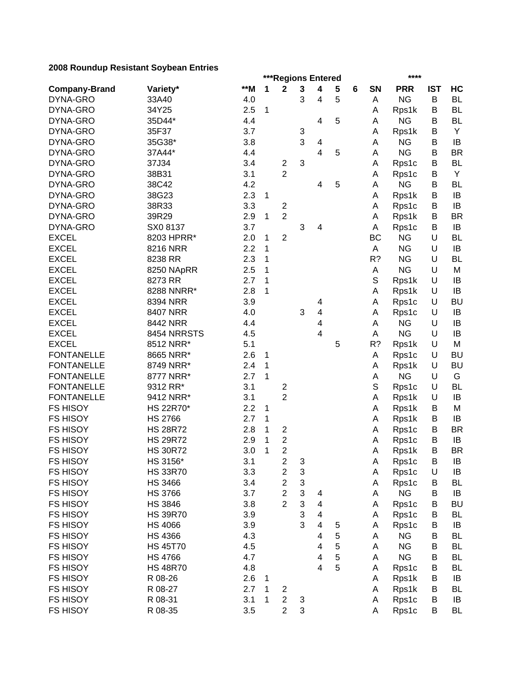|                      |                 |       |   | ***Regions Entered      |   |                         |   |   |             | ****       |            |           |
|----------------------|-----------------|-------|---|-------------------------|---|-------------------------|---|---|-------------|------------|------------|-----------|
| <b>Company-Brand</b> | Variety*        | $**M$ | 1 | $\mathbf 2$             | 3 | 4                       | 5 | 6 | SN          | <b>PRR</b> | <b>IST</b> | HC        |
| DYNA-GRO             | 33A40           | 4.0   |   |                         | 3 | 4                       | 5 |   | Α           | <b>NG</b>  | B          | <b>BL</b> |
| DYNA-GRO             | 34Y25           | 2.5   | 1 |                         |   |                         |   |   | Α           | Rps1k      | B          | <b>BL</b> |
| DYNA-GRO             | 35D44*          | 4.4   |   |                         |   | 4                       | 5 |   | А           | <b>NG</b>  | B          | <b>BL</b> |
| DYNA-GRO             | 35F37           | 3.7   |   |                         | 3 |                         |   |   | Α           | Rps1k      | B          | Y         |
| DYNA-GRO             | 35G38*          | 3.8   |   |                         | 3 | 4                       |   |   | А           | <b>NG</b>  | B          | IB        |
| DYNA-GRO             | 37A44*          | 4.4   |   |                         |   | 4                       | 5 |   | A           | <b>NG</b>  | B          | <b>BR</b> |
| DYNA-GRO             | 37J34           | 3.4   |   | $\overline{\mathbf{c}}$ | 3 |                         |   |   | Α           | Rps1c      | B          | <b>BL</b> |
| DYNA-GRO             | 38B31           | 3.1   |   | $\overline{2}$          |   |                         |   |   | Α           | Rps1c      | B          | Υ         |
| DYNA-GRO             | 38C42           | 4.2   |   |                         |   | 4                       | 5 |   | A           | <b>NG</b>  | В          | <b>BL</b> |
| DYNA-GRO             | 38G23           | 2.3   | 1 |                         |   |                         |   |   | Α           | Rps1k      | В          | IB        |
| DYNA-GRO             | 38R33           | 3.3   |   | $\mathbf 2$             |   |                         |   |   | A           | Rps1c      | В          | IB        |
| DYNA-GRO             | 39R29           | 2.9   | 1 | $\overline{2}$          |   |                         |   |   | Α           | Rps1k      | В          | <b>BR</b> |
| DYNA-GRO             | SX08137         | 3.7   |   |                         | 3 | 4                       |   |   | Α           | Rps1c      | В          | IB        |
| <b>EXCEL</b>         | 8203 HPRR*      | 2.0   | 1 | $\overline{2}$          |   |                         |   |   | ВC          | <b>NG</b>  | U          | <b>BL</b> |
| <b>EXCEL</b>         | 8216 NRR        | 2.2   | 1 |                         |   |                         |   |   | A           | <b>NG</b>  | U          | IB        |
| <b>EXCEL</b>         | 8238 RR         | 2.3   | 1 |                         |   |                         |   |   | R?          | <b>NG</b>  | U          | <b>BL</b> |
| <b>EXCEL</b>         | 8250 NApRR      | 2.5   | 1 |                         |   |                         |   |   | A           | <b>NG</b>  | U          | M         |
| <b>EXCEL</b>         | 8273 RR         | 2.7   | 1 |                         |   |                         |   |   | $\mathbb S$ | Rps1k      | U          | IB        |
| <b>EXCEL</b>         | 8288 NNRR*      | 2.8   | 1 |                         |   |                         |   |   | А           | Rps1k      | U          | IB        |
| <b>EXCEL</b>         | 8394 NRR        | 3.9   |   |                         |   | 4                       |   |   | Α           | Rps1c      | U          | <b>BU</b> |
| <b>EXCEL</b>         | 8407 NRR        | 4.0   |   |                         | 3 | 4                       |   |   | Α           | Rps1c      | U          | IB        |
| <b>EXCEL</b>         | 8442 NRR        | 4.4   |   |                         |   | $\overline{\mathbf{4}}$ |   |   | A           | <b>NG</b>  | U          | IB        |
| <b>EXCEL</b>         | 8454 NRRSTS     | 4.5   |   |                         |   | $\overline{4}$          |   |   | A           | <b>NG</b>  | U          | IB        |
| <b>EXCEL</b>         | 8512 NRR*       | 5.1   |   |                         |   |                         | 5 |   | R?          | Rps1k      | U          | M         |
| <b>FONTANELLE</b>    | 8665 NRR*       | 2.6   | 1 |                         |   |                         |   |   | Α           | Rps1c      | U          | <b>BU</b> |
| <b>FONTANELLE</b>    | 8749 NRR*       | 2.4   | 1 |                         |   |                         |   |   | Α           | Rps1k      | U          | <b>BU</b> |
| <b>FONTANELLE</b>    | 8777 NRR*       | 2.7   | 1 |                         |   |                         |   |   | Α           | <b>NG</b>  | U          | G         |
| <b>FONTANELLE</b>    | 9312 RR*        | 3.1   |   | $\overline{\mathbf{c}}$ |   |                         |   |   | S           | Rps1c      | U          | <b>BL</b> |
| <b>FONTANELLE</b>    | 9412 NRR*       | 3.1   |   | $\overline{2}$          |   |                         |   |   | Α           | Rps1k      | U          | IB        |
| <b>FS HISOY</b>      | HS 22R70*       | 2.2   | 1 |                         |   |                         |   |   | Α           | Rps1k      | B          | M         |
| <b>FS HISOY</b>      | <b>HS 2766</b>  | 2.7   | 1 |                         |   |                         |   |   | Α           |            | B          | IB        |
| <b>FS HISOY</b>      | <b>HS 28R72</b> | 2.8   | 1 |                         |   |                         |   |   |             | Rps1k      | B          | <b>BR</b> |
|                      |                 |       | 1 | $\overline{\mathbf{c}}$ |   |                         |   |   | Α           | Rps1c      |            | IB        |
| <b>FS HISOY</b>      | <b>HS 29R72</b> | 2.9   |   | $\boldsymbol{2}$        |   |                         |   |   | Α           | Rps1c      | B          |           |
| <b>FS HISOY</b>      | <b>HS 30R72</b> | 3.0   | 1 | $\overline{2}$          |   |                         |   |   | Α           | Rps1k      | B          | <b>BR</b> |
| FS HISOY             | HS 3156*        | 3.1   |   | $\boldsymbol{2}$        | 3 |                         |   |   | A           | Rps1c      | B          | IB        |
| <b>FS HISOY</b>      | <b>HS 33R70</b> | 3.3   |   | $\boldsymbol{2}$        | 3 |                         |   |   | A           | Rps1c      | U          | IB        |
| <b>FS HISOY</b>      | <b>HS 3466</b>  | 3.4   |   | $\boldsymbol{2}$        | 3 |                         |   |   | Α           | Rps1c      | В          | <b>BL</b> |
| FS HISOY             | <b>HS 3766</b>  | 3.7   |   | $\overline{2}$          | 3 | 4                       |   |   | Α           | <b>NG</b>  | B          | IB        |
| FS HISOY             | <b>HS 3846</b>  | 3.8   |   | $\overline{2}$          | 3 | 4                       |   |   | Α           | Rps1c      | B          | <b>BU</b> |
| <b>FS HISOY</b>      | <b>HS 39R70</b> | 3.9   |   |                         | 3 | $\overline{\mathbf{4}}$ |   |   | Α           | Rps1c      | B          | <b>BL</b> |
| <b>FS HISOY</b>      | <b>HS 4066</b>  | 3.9   |   |                         | 3 | 4                       | 5 |   | Α           | Rps1c      | B          | IB        |
| <b>FS HISOY</b>      | <b>HS 4366</b>  | 4.3   |   |                         |   | 4                       | 5 |   | Α           | <b>NG</b>  | B          | <b>BL</b> |
| <b>FS HISOY</b>      | <b>HS 45T70</b> | 4.5   |   |                         |   | 4                       | 5 |   | Α           | <b>NG</b>  | B          | <b>BL</b> |
| <b>FS HISOY</b>      | <b>HS 4766</b>  | 4.7   |   |                         |   | 4                       | 5 |   | Α           | <b>NG</b>  | B          | <b>BL</b> |
| <b>FS HISOY</b>      | <b>HS 48R70</b> | 4.8   |   |                         |   | 4                       | 5 |   | Α           | Rps1c      | B          | BL        |
| <b>FS HISOY</b>      | R 08-26         | 2.6   | 1 |                         |   |                         |   |   | Α           | Rps1k      | В          | IB        |
| FS HISOY             | R 08-27         | 2.7   | 1 | $\overline{\mathbf{c}}$ |   |                         |   |   | Α           | Rps1k      | В          | BL        |
| FS HISOY             | R 08-31         | 3.1   | 1 | $\boldsymbol{2}$        | 3 |                         |   |   | Α           | Rps1c      | B          | IB        |
| <b>FS HISOY</b>      | R 08-35         | 3.5   |   | $\overline{2}$          | 3 |                         |   |   | A           | Rps1c      | B          | <b>BL</b> |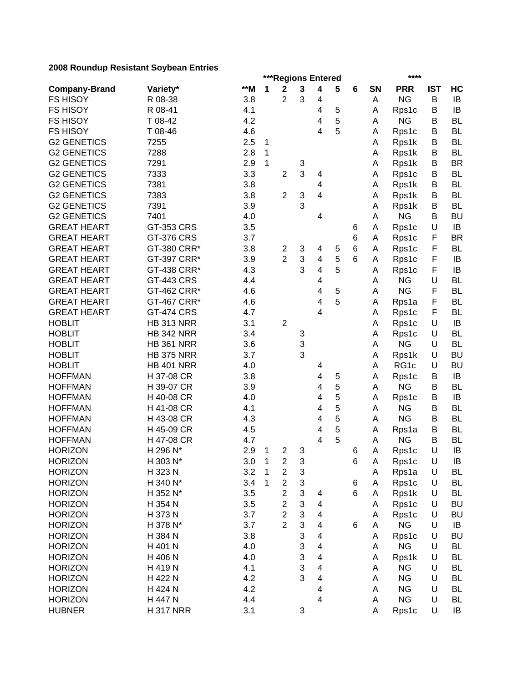| $*$ M<br>3<br>1<br>$\mathbf 2$<br>5<br><b>PRR</b><br><b>IST</b><br>HC<br>Variety*<br>4<br>6<br>SN<br><b>Company-Brand</b><br>$\overline{2}$<br>3<br><b>NG</b><br>B<br><b>FS HISOY</b><br>R 08-38<br>3.8<br>IB<br>4<br>Α<br>R 08-41<br><b>FS HISOY</b><br>5<br>B<br>IB<br>4.1<br>4<br>A<br>Rps1c<br>5<br><b>NG</b><br><b>FS HISOY</b><br>T 08-42<br>4.2<br>B<br><b>BL</b><br>4<br>A<br>5<br><b>BL</b><br><b>FS HISOY</b><br>T 08-46<br>4.6<br>4<br>B<br>Rps1c<br>A<br><b>G2 GENETICS</b><br>7255<br>2.5<br><b>BL</b><br>1<br>В<br>Α<br>Rps1k<br><b>G2 GENETICS</b><br>7288<br>2.8<br>B<br><b>BL</b><br>1<br>Rps1k<br>A<br><b>G2 GENETICS</b><br>7291<br>2.9<br>1<br><b>BR</b><br>3<br>Rps1k<br>В<br>Α<br>3<br><b>G2 GENETICS</b><br>7333<br>3.3<br>$\overline{2}$<br>B<br><b>BL</b><br>Rps1c<br>4<br>A<br><b>G2 GENETICS</b><br>7381<br>3.8<br><b>BL</b><br>Rps1k<br>4<br>Α<br>В<br><b>G2 GENETICS</b><br>7383<br>$\overline{2}$<br>3<br>4<br><b>BL</b><br>3.8<br>Rps1k<br>В<br>A<br>3<br><b>G2 GENETICS</b><br>7391<br><b>BL</b><br>3.9<br>В<br>A<br>Rps1k<br><b>BU</b><br><b>G2 GENETICS</b><br>7401<br>4.0<br><b>NG</b><br>4<br>Α<br>B<br>GT-353 CRS<br>3.5<br>U<br>IB<br><b>GREAT HEART</b><br>Rps1c<br>6<br>A<br><b>GREAT HEART</b><br><b>GT-376 CRS</b><br>3.7<br>6<br>F<br><b>BR</b><br>Rps1c<br>Α<br>GT-380 CRR*<br>3.8<br>6<br>F<br><b>BL</b><br><b>GREAT HEART</b><br>3<br>Rps1c<br>2<br>4<br>5<br>Α<br>$\overline{2}$<br>3<br>5<br>F<br><b>GREAT HEART</b><br>GT-397 CRR*<br>3.9<br>6<br>IB<br>4<br>Rps1c<br>Α<br>3<br>5<br>F<br><b>GREAT HEART</b><br>GT-438 CRR*<br>4.3<br>IB<br>4<br>Rps1c<br>Α<br><b>GREAT HEART</b><br><b>GT-443 CRS</b><br><b>NG</b><br>U<br><b>BL</b><br>4.4<br>4<br>A<br>5<br><b>NG</b><br>F<br><b>GREAT HEART</b><br>GT-462 CRR*<br>4.6<br><b>BL</b><br>4<br>A<br>5<br>F<br><b>GREAT HEART</b><br>GT-467 CRR*<br>4.6<br>4<br><b>BL</b><br>Α<br>Rps1a<br>F<br><b>GREAT HEART</b><br><b>GT-474 CRS</b><br>4.7<br>$\overline{4}$<br><b>BL</b><br>Rps1c<br>Α<br><b>HOBLIT</b><br><b>HB 313 NRR</b><br>3.1<br>$\overline{2}$<br>U<br>Rps1c<br>IB<br>Α<br><b>HOBLIT</b><br><b>HB 342 NRR</b><br>3.4<br>U<br><b>BL</b><br>3<br>Rps1c<br>Α<br>3<br><b>NG</b><br><b>HOBLIT</b><br><b>HB 361 NRR</b><br>3.6<br><b>BL</b><br>U<br>Α<br>3<br><b>HOBLIT</b><br><b>HB 375 NRR</b><br>3.7<br>U<br><b>BU</b><br>Rps1k<br>Α<br><b>HOBLIT</b><br><b>HB 401 NRR</b><br>RG1c<br>U<br><b>BU</b><br>4.0<br>A<br>4<br><b>HOFFMAN</b><br>H 37-08 CR<br>3.8<br>4<br>5<br>Rps1c<br>B<br>IB<br>Α<br>5<br><b>HOFFMAN</b><br><b>NG</b><br><b>BL</b><br>H 39-07 CR<br>3.9<br>B<br>4<br>A<br>5<br><b>HOFFMAN</b><br>H 40-08 CR<br>4.0<br>B<br>IB<br>4<br>Α<br>Rps1c<br>5<br>H 41-08 CR<br><b>NG</b><br><b>BL</b><br><b>HOFFMAN</b><br>4.1<br>4<br>Α<br>B<br>5<br><b>NG</b><br>4.3<br>B<br><b>BL</b><br><b>HOFFMAN</b><br>H 43-08 CR<br>4<br>Α<br>5<br>H 45-09 CR<br>4.5<br>B<br><b>BL</b><br><b>HOFFMAN</b><br>4<br>Α<br>Rps1a<br>5<br><b>NG</b><br>H 47-08 CR<br>A<br>B<br><b>BL</b><br><b>HOFFMAN</b><br>4.7<br>4<br>U<br><b>HORIZON</b><br>H 296 N*<br>2.9<br>1<br>$\overline{2}$<br>3<br>IB<br>6<br>Α<br>Rps1c<br>IB<br>3.0<br>$\boldsymbol{2}$<br>$\,6$<br><b>HORIZON</b><br>H 303 N*<br>$\mathbf{1}$<br>3<br>Rps1c<br>U<br>Α<br>3<br>H 323 N<br>3.2<br>1<br>$\overline{\mathbf{c}}$<br>$\cup$<br><b>HORIZON</b><br><b>BL</b><br>Rps1a<br>A<br>$\ensuremath{\mathsf{3}}$<br>$\boldsymbol{2}$<br><b>HORIZON</b><br>H 340 N*<br>3.4<br>1<br>U<br><b>BL</b><br>Rps1c<br>6<br>Α<br>3<br>$\overline{c}$<br>6<br>3.5<br>U<br><b>BL</b><br><b>HORIZON</b><br>H 352 N*<br>Rps1k<br>4<br>Α<br>3<br>$\overline{c}$<br>3.5<br><b>BU</b><br><b>HORIZON</b><br>H 354 N<br>Rps1c<br>U<br>4<br>A<br>$\overline{c}$<br>3<br><b>HORIZON</b><br>H 373 N<br>3.7<br>U<br><b>BU</b><br>4<br>Rps1c<br>A<br>$\overline{2}$<br>3<br><b>HORIZON</b><br>3.7<br><b>NG</b><br>H 378 N*<br>U<br>IB<br>4<br>6<br>Α<br>3<br><b>HORIZON</b><br>3.8<br>U<br><b>BU</b><br>H 384 N<br>Rps1c<br>4<br>Α<br>3<br><b>HORIZON</b><br><b>NG</b><br><b>BL</b><br>H 401 N<br>4.0<br>U<br>4<br>Α<br>3<br><b>HORIZON</b><br>U<br><b>BL</b><br>H 406 N<br>4.0<br>4<br>Rps1k<br>A<br>3<br><b>HORIZON</b><br><b>NG</b><br>U<br><b>BL</b><br>H 419 N<br>4.1<br>4<br>Α<br>3<br><b>NG</b><br><b>HORIZON</b><br>H 422 N<br>4.2<br>A<br>U<br><b>BL</b><br>4<br><b>NG</b><br><b>HORIZON</b><br>H 424 N<br>4.2<br>A<br>U<br><b>BL</b><br>4<br><b>NG</b><br><b>HORIZON</b><br>H 447 N<br>4.4<br>A<br>U<br><b>BL</b><br>4<br><b>HUBNER</b><br><b>H317 NRR</b><br>3.1<br>3<br>U<br>А<br>Rps1c<br>IB | ***Regions Entered |  |  |  |  |  |  |  | **** |  |  |
|----------------------------------------------------------------------------------------------------------------------------------------------------------------------------------------------------------------------------------------------------------------------------------------------------------------------------------------------------------------------------------------------------------------------------------------------------------------------------------------------------------------------------------------------------------------------------------------------------------------------------------------------------------------------------------------------------------------------------------------------------------------------------------------------------------------------------------------------------------------------------------------------------------------------------------------------------------------------------------------------------------------------------------------------------------------------------------------------------------------------------------------------------------------------------------------------------------------------------------------------------------------------------------------------------------------------------------------------------------------------------------------------------------------------------------------------------------------------------------------------------------------------------------------------------------------------------------------------------------------------------------------------------------------------------------------------------------------------------------------------------------------------------------------------------------------------------------------------------------------------------------------------------------------------------------------------------------------------------------------------------------------------------------------------------------------------------------------------------------------------------------------------------------------------------------------------------------------------------------------------------------------------------------------------------------------------------------------------------------------------------------------------------------------------------------------------------------------------------------------------------------------------------------------------------------------------------------------------------------------------------------------------------------------------------------------------------------------------------------------------------------------------------------------------------------------------------------------------------------------------------------------------------------------------------------------------------------------------------------------------------------------------------------------------------------------------------------------------------------------------------------------------------------------------------------------------------------------------------------------------------------------------------------------------------------------------------------------------------------------------------------------------------------------------------------------------------------------------------------------------------------------------------------------------------------------------------------------------------------------------------------------------------------------------------------------------------------------------------------------------------------------------------------------------------------------------------------------------------------------------------------------------------------------------------------------------------------------------------------------------------------------------------------------------------------------------------------------------------------------------------------------------------------------------------------------------------------------------------------------------------------------------------------------------------------------------------------------------------------------------------------------------------------------------------------------------------------------------------------------------------------------------------------------------------|--------------------|--|--|--|--|--|--|--|------|--|--|
|                                                                                                                                                                                                                                                                                                                                                                                                                                                                                                                                                                                                                                                                                                                                                                                                                                                                                                                                                                                                                                                                                                                                                                                                                                                                                                                                                                                                                                                                                                                                                                                                                                                                                                                                                                                                                                                                                                                                                                                                                                                                                                                                                                                                                                                                                                                                                                                                                                                                                                                                                                                                                                                                                                                                                                                                                                                                                                                                                                                                                                                                                                                                                                                                                                                                                                                                                                                                                                                                                                                                                                                                                                                                                                                                                                                                                                                                                                                                                                                                                                                                                                                                                                                                                                                                                                                                                                                                                                                                                                                                                    |                    |  |  |  |  |  |  |  |      |  |  |
|                                                                                                                                                                                                                                                                                                                                                                                                                                                                                                                                                                                                                                                                                                                                                                                                                                                                                                                                                                                                                                                                                                                                                                                                                                                                                                                                                                                                                                                                                                                                                                                                                                                                                                                                                                                                                                                                                                                                                                                                                                                                                                                                                                                                                                                                                                                                                                                                                                                                                                                                                                                                                                                                                                                                                                                                                                                                                                                                                                                                                                                                                                                                                                                                                                                                                                                                                                                                                                                                                                                                                                                                                                                                                                                                                                                                                                                                                                                                                                                                                                                                                                                                                                                                                                                                                                                                                                                                                                                                                                                                                    |                    |  |  |  |  |  |  |  |      |  |  |
|                                                                                                                                                                                                                                                                                                                                                                                                                                                                                                                                                                                                                                                                                                                                                                                                                                                                                                                                                                                                                                                                                                                                                                                                                                                                                                                                                                                                                                                                                                                                                                                                                                                                                                                                                                                                                                                                                                                                                                                                                                                                                                                                                                                                                                                                                                                                                                                                                                                                                                                                                                                                                                                                                                                                                                                                                                                                                                                                                                                                                                                                                                                                                                                                                                                                                                                                                                                                                                                                                                                                                                                                                                                                                                                                                                                                                                                                                                                                                                                                                                                                                                                                                                                                                                                                                                                                                                                                                                                                                                                                                    |                    |  |  |  |  |  |  |  |      |  |  |
|                                                                                                                                                                                                                                                                                                                                                                                                                                                                                                                                                                                                                                                                                                                                                                                                                                                                                                                                                                                                                                                                                                                                                                                                                                                                                                                                                                                                                                                                                                                                                                                                                                                                                                                                                                                                                                                                                                                                                                                                                                                                                                                                                                                                                                                                                                                                                                                                                                                                                                                                                                                                                                                                                                                                                                                                                                                                                                                                                                                                                                                                                                                                                                                                                                                                                                                                                                                                                                                                                                                                                                                                                                                                                                                                                                                                                                                                                                                                                                                                                                                                                                                                                                                                                                                                                                                                                                                                                                                                                                                                                    |                    |  |  |  |  |  |  |  |      |  |  |
|                                                                                                                                                                                                                                                                                                                                                                                                                                                                                                                                                                                                                                                                                                                                                                                                                                                                                                                                                                                                                                                                                                                                                                                                                                                                                                                                                                                                                                                                                                                                                                                                                                                                                                                                                                                                                                                                                                                                                                                                                                                                                                                                                                                                                                                                                                                                                                                                                                                                                                                                                                                                                                                                                                                                                                                                                                                                                                                                                                                                                                                                                                                                                                                                                                                                                                                                                                                                                                                                                                                                                                                                                                                                                                                                                                                                                                                                                                                                                                                                                                                                                                                                                                                                                                                                                                                                                                                                                                                                                                                                                    |                    |  |  |  |  |  |  |  |      |  |  |
|                                                                                                                                                                                                                                                                                                                                                                                                                                                                                                                                                                                                                                                                                                                                                                                                                                                                                                                                                                                                                                                                                                                                                                                                                                                                                                                                                                                                                                                                                                                                                                                                                                                                                                                                                                                                                                                                                                                                                                                                                                                                                                                                                                                                                                                                                                                                                                                                                                                                                                                                                                                                                                                                                                                                                                                                                                                                                                                                                                                                                                                                                                                                                                                                                                                                                                                                                                                                                                                                                                                                                                                                                                                                                                                                                                                                                                                                                                                                                                                                                                                                                                                                                                                                                                                                                                                                                                                                                                                                                                                                                    |                    |  |  |  |  |  |  |  |      |  |  |
|                                                                                                                                                                                                                                                                                                                                                                                                                                                                                                                                                                                                                                                                                                                                                                                                                                                                                                                                                                                                                                                                                                                                                                                                                                                                                                                                                                                                                                                                                                                                                                                                                                                                                                                                                                                                                                                                                                                                                                                                                                                                                                                                                                                                                                                                                                                                                                                                                                                                                                                                                                                                                                                                                                                                                                                                                                                                                                                                                                                                                                                                                                                                                                                                                                                                                                                                                                                                                                                                                                                                                                                                                                                                                                                                                                                                                                                                                                                                                                                                                                                                                                                                                                                                                                                                                                                                                                                                                                                                                                                                                    |                    |  |  |  |  |  |  |  |      |  |  |
|                                                                                                                                                                                                                                                                                                                                                                                                                                                                                                                                                                                                                                                                                                                                                                                                                                                                                                                                                                                                                                                                                                                                                                                                                                                                                                                                                                                                                                                                                                                                                                                                                                                                                                                                                                                                                                                                                                                                                                                                                                                                                                                                                                                                                                                                                                                                                                                                                                                                                                                                                                                                                                                                                                                                                                                                                                                                                                                                                                                                                                                                                                                                                                                                                                                                                                                                                                                                                                                                                                                                                                                                                                                                                                                                                                                                                                                                                                                                                                                                                                                                                                                                                                                                                                                                                                                                                                                                                                                                                                                                                    |                    |  |  |  |  |  |  |  |      |  |  |
|                                                                                                                                                                                                                                                                                                                                                                                                                                                                                                                                                                                                                                                                                                                                                                                                                                                                                                                                                                                                                                                                                                                                                                                                                                                                                                                                                                                                                                                                                                                                                                                                                                                                                                                                                                                                                                                                                                                                                                                                                                                                                                                                                                                                                                                                                                                                                                                                                                                                                                                                                                                                                                                                                                                                                                                                                                                                                                                                                                                                                                                                                                                                                                                                                                                                                                                                                                                                                                                                                                                                                                                                                                                                                                                                                                                                                                                                                                                                                                                                                                                                                                                                                                                                                                                                                                                                                                                                                                                                                                                                                    |                    |  |  |  |  |  |  |  |      |  |  |
|                                                                                                                                                                                                                                                                                                                                                                                                                                                                                                                                                                                                                                                                                                                                                                                                                                                                                                                                                                                                                                                                                                                                                                                                                                                                                                                                                                                                                                                                                                                                                                                                                                                                                                                                                                                                                                                                                                                                                                                                                                                                                                                                                                                                                                                                                                                                                                                                                                                                                                                                                                                                                                                                                                                                                                                                                                                                                                                                                                                                                                                                                                                                                                                                                                                                                                                                                                                                                                                                                                                                                                                                                                                                                                                                                                                                                                                                                                                                                                                                                                                                                                                                                                                                                                                                                                                                                                                                                                                                                                                                                    |                    |  |  |  |  |  |  |  |      |  |  |
|                                                                                                                                                                                                                                                                                                                                                                                                                                                                                                                                                                                                                                                                                                                                                                                                                                                                                                                                                                                                                                                                                                                                                                                                                                                                                                                                                                                                                                                                                                                                                                                                                                                                                                                                                                                                                                                                                                                                                                                                                                                                                                                                                                                                                                                                                                                                                                                                                                                                                                                                                                                                                                                                                                                                                                                                                                                                                                                                                                                                                                                                                                                                                                                                                                                                                                                                                                                                                                                                                                                                                                                                                                                                                                                                                                                                                                                                                                                                                                                                                                                                                                                                                                                                                                                                                                                                                                                                                                                                                                                                                    |                    |  |  |  |  |  |  |  |      |  |  |
|                                                                                                                                                                                                                                                                                                                                                                                                                                                                                                                                                                                                                                                                                                                                                                                                                                                                                                                                                                                                                                                                                                                                                                                                                                                                                                                                                                                                                                                                                                                                                                                                                                                                                                                                                                                                                                                                                                                                                                                                                                                                                                                                                                                                                                                                                                                                                                                                                                                                                                                                                                                                                                                                                                                                                                                                                                                                                                                                                                                                                                                                                                                                                                                                                                                                                                                                                                                                                                                                                                                                                                                                                                                                                                                                                                                                                                                                                                                                                                                                                                                                                                                                                                                                                                                                                                                                                                                                                                                                                                                                                    |                    |  |  |  |  |  |  |  |      |  |  |
|                                                                                                                                                                                                                                                                                                                                                                                                                                                                                                                                                                                                                                                                                                                                                                                                                                                                                                                                                                                                                                                                                                                                                                                                                                                                                                                                                                                                                                                                                                                                                                                                                                                                                                                                                                                                                                                                                                                                                                                                                                                                                                                                                                                                                                                                                                                                                                                                                                                                                                                                                                                                                                                                                                                                                                                                                                                                                                                                                                                                                                                                                                                                                                                                                                                                                                                                                                                                                                                                                                                                                                                                                                                                                                                                                                                                                                                                                                                                                                                                                                                                                                                                                                                                                                                                                                                                                                                                                                                                                                                                                    |                    |  |  |  |  |  |  |  |      |  |  |
|                                                                                                                                                                                                                                                                                                                                                                                                                                                                                                                                                                                                                                                                                                                                                                                                                                                                                                                                                                                                                                                                                                                                                                                                                                                                                                                                                                                                                                                                                                                                                                                                                                                                                                                                                                                                                                                                                                                                                                                                                                                                                                                                                                                                                                                                                                                                                                                                                                                                                                                                                                                                                                                                                                                                                                                                                                                                                                                                                                                                                                                                                                                                                                                                                                                                                                                                                                                                                                                                                                                                                                                                                                                                                                                                                                                                                                                                                                                                                                                                                                                                                                                                                                                                                                                                                                                                                                                                                                                                                                                                                    |                    |  |  |  |  |  |  |  |      |  |  |
|                                                                                                                                                                                                                                                                                                                                                                                                                                                                                                                                                                                                                                                                                                                                                                                                                                                                                                                                                                                                                                                                                                                                                                                                                                                                                                                                                                                                                                                                                                                                                                                                                                                                                                                                                                                                                                                                                                                                                                                                                                                                                                                                                                                                                                                                                                                                                                                                                                                                                                                                                                                                                                                                                                                                                                                                                                                                                                                                                                                                                                                                                                                                                                                                                                                                                                                                                                                                                                                                                                                                                                                                                                                                                                                                                                                                                                                                                                                                                                                                                                                                                                                                                                                                                                                                                                                                                                                                                                                                                                                                                    |                    |  |  |  |  |  |  |  |      |  |  |
|                                                                                                                                                                                                                                                                                                                                                                                                                                                                                                                                                                                                                                                                                                                                                                                                                                                                                                                                                                                                                                                                                                                                                                                                                                                                                                                                                                                                                                                                                                                                                                                                                                                                                                                                                                                                                                                                                                                                                                                                                                                                                                                                                                                                                                                                                                                                                                                                                                                                                                                                                                                                                                                                                                                                                                                                                                                                                                                                                                                                                                                                                                                                                                                                                                                                                                                                                                                                                                                                                                                                                                                                                                                                                                                                                                                                                                                                                                                                                                                                                                                                                                                                                                                                                                                                                                                                                                                                                                                                                                                                                    |                    |  |  |  |  |  |  |  |      |  |  |
|                                                                                                                                                                                                                                                                                                                                                                                                                                                                                                                                                                                                                                                                                                                                                                                                                                                                                                                                                                                                                                                                                                                                                                                                                                                                                                                                                                                                                                                                                                                                                                                                                                                                                                                                                                                                                                                                                                                                                                                                                                                                                                                                                                                                                                                                                                                                                                                                                                                                                                                                                                                                                                                                                                                                                                                                                                                                                                                                                                                                                                                                                                                                                                                                                                                                                                                                                                                                                                                                                                                                                                                                                                                                                                                                                                                                                                                                                                                                                                                                                                                                                                                                                                                                                                                                                                                                                                                                                                                                                                                                                    |                    |  |  |  |  |  |  |  |      |  |  |
|                                                                                                                                                                                                                                                                                                                                                                                                                                                                                                                                                                                                                                                                                                                                                                                                                                                                                                                                                                                                                                                                                                                                                                                                                                                                                                                                                                                                                                                                                                                                                                                                                                                                                                                                                                                                                                                                                                                                                                                                                                                                                                                                                                                                                                                                                                                                                                                                                                                                                                                                                                                                                                                                                                                                                                                                                                                                                                                                                                                                                                                                                                                                                                                                                                                                                                                                                                                                                                                                                                                                                                                                                                                                                                                                                                                                                                                                                                                                                                                                                                                                                                                                                                                                                                                                                                                                                                                                                                                                                                                                                    |                    |  |  |  |  |  |  |  |      |  |  |
|                                                                                                                                                                                                                                                                                                                                                                                                                                                                                                                                                                                                                                                                                                                                                                                                                                                                                                                                                                                                                                                                                                                                                                                                                                                                                                                                                                                                                                                                                                                                                                                                                                                                                                                                                                                                                                                                                                                                                                                                                                                                                                                                                                                                                                                                                                                                                                                                                                                                                                                                                                                                                                                                                                                                                                                                                                                                                                                                                                                                                                                                                                                                                                                                                                                                                                                                                                                                                                                                                                                                                                                                                                                                                                                                                                                                                                                                                                                                                                                                                                                                                                                                                                                                                                                                                                                                                                                                                                                                                                                                                    |                    |  |  |  |  |  |  |  |      |  |  |
|                                                                                                                                                                                                                                                                                                                                                                                                                                                                                                                                                                                                                                                                                                                                                                                                                                                                                                                                                                                                                                                                                                                                                                                                                                                                                                                                                                                                                                                                                                                                                                                                                                                                                                                                                                                                                                                                                                                                                                                                                                                                                                                                                                                                                                                                                                                                                                                                                                                                                                                                                                                                                                                                                                                                                                                                                                                                                                                                                                                                                                                                                                                                                                                                                                                                                                                                                                                                                                                                                                                                                                                                                                                                                                                                                                                                                                                                                                                                                                                                                                                                                                                                                                                                                                                                                                                                                                                                                                                                                                                                                    |                    |  |  |  |  |  |  |  |      |  |  |
|                                                                                                                                                                                                                                                                                                                                                                                                                                                                                                                                                                                                                                                                                                                                                                                                                                                                                                                                                                                                                                                                                                                                                                                                                                                                                                                                                                                                                                                                                                                                                                                                                                                                                                                                                                                                                                                                                                                                                                                                                                                                                                                                                                                                                                                                                                                                                                                                                                                                                                                                                                                                                                                                                                                                                                                                                                                                                                                                                                                                                                                                                                                                                                                                                                                                                                                                                                                                                                                                                                                                                                                                                                                                                                                                                                                                                                                                                                                                                                                                                                                                                                                                                                                                                                                                                                                                                                                                                                                                                                                                                    |                    |  |  |  |  |  |  |  |      |  |  |
|                                                                                                                                                                                                                                                                                                                                                                                                                                                                                                                                                                                                                                                                                                                                                                                                                                                                                                                                                                                                                                                                                                                                                                                                                                                                                                                                                                                                                                                                                                                                                                                                                                                                                                                                                                                                                                                                                                                                                                                                                                                                                                                                                                                                                                                                                                                                                                                                                                                                                                                                                                                                                                                                                                                                                                                                                                                                                                                                                                                                                                                                                                                                                                                                                                                                                                                                                                                                                                                                                                                                                                                                                                                                                                                                                                                                                                                                                                                                                                                                                                                                                                                                                                                                                                                                                                                                                                                                                                                                                                                                                    |                    |  |  |  |  |  |  |  |      |  |  |
|                                                                                                                                                                                                                                                                                                                                                                                                                                                                                                                                                                                                                                                                                                                                                                                                                                                                                                                                                                                                                                                                                                                                                                                                                                                                                                                                                                                                                                                                                                                                                                                                                                                                                                                                                                                                                                                                                                                                                                                                                                                                                                                                                                                                                                                                                                                                                                                                                                                                                                                                                                                                                                                                                                                                                                                                                                                                                                                                                                                                                                                                                                                                                                                                                                                                                                                                                                                                                                                                                                                                                                                                                                                                                                                                                                                                                                                                                                                                                                                                                                                                                                                                                                                                                                                                                                                                                                                                                                                                                                                                                    |                    |  |  |  |  |  |  |  |      |  |  |
|                                                                                                                                                                                                                                                                                                                                                                                                                                                                                                                                                                                                                                                                                                                                                                                                                                                                                                                                                                                                                                                                                                                                                                                                                                                                                                                                                                                                                                                                                                                                                                                                                                                                                                                                                                                                                                                                                                                                                                                                                                                                                                                                                                                                                                                                                                                                                                                                                                                                                                                                                                                                                                                                                                                                                                                                                                                                                                                                                                                                                                                                                                                                                                                                                                                                                                                                                                                                                                                                                                                                                                                                                                                                                                                                                                                                                                                                                                                                                                                                                                                                                                                                                                                                                                                                                                                                                                                                                                                                                                                                                    |                    |  |  |  |  |  |  |  |      |  |  |
|                                                                                                                                                                                                                                                                                                                                                                                                                                                                                                                                                                                                                                                                                                                                                                                                                                                                                                                                                                                                                                                                                                                                                                                                                                                                                                                                                                                                                                                                                                                                                                                                                                                                                                                                                                                                                                                                                                                                                                                                                                                                                                                                                                                                                                                                                                                                                                                                                                                                                                                                                                                                                                                                                                                                                                                                                                                                                                                                                                                                                                                                                                                                                                                                                                                                                                                                                                                                                                                                                                                                                                                                                                                                                                                                                                                                                                                                                                                                                                                                                                                                                                                                                                                                                                                                                                                                                                                                                                                                                                                                                    |                    |  |  |  |  |  |  |  |      |  |  |
|                                                                                                                                                                                                                                                                                                                                                                                                                                                                                                                                                                                                                                                                                                                                                                                                                                                                                                                                                                                                                                                                                                                                                                                                                                                                                                                                                                                                                                                                                                                                                                                                                                                                                                                                                                                                                                                                                                                                                                                                                                                                                                                                                                                                                                                                                                                                                                                                                                                                                                                                                                                                                                                                                                                                                                                                                                                                                                                                                                                                                                                                                                                                                                                                                                                                                                                                                                                                                                                                                                                                                                                                                                                                                                                                                                                                                                                                                                                                                                                                                                                                                                                                                                                                                                                                                                                                                                                                                                                                                                                                                    |                    |  |  |  |  |  |  |  |      |  |  |
|                                                                                                                                                                                                                                                                                                                                                                                                                                                                                                                                                                                                                                                                                                                                                                                                                                                                                                                                                                                                                                                                                                                                                                                                                                                                                                                                                                                                                                                                                                                                                                                                                                                                                                                                                                                                                                                                                                                                                                                                                                                                                                                                                                                                                                                                                                                                                                                                                                                                                                                                                                                                                                                                                                                                                                                                                                                                                                                                                                                                                                                                                                                                                                                                                                                                                                                                                                                                                                                                                                                                                                                                                                                                                                                                                                                                                                                                                                                                                                                                                                                                                                                                                                                                                                                                                                                                                                                                                                                                                                                                                    |                    |  |  |  |  |  |  |  |      |  |  |
|                                                                                                                                                                                                                                                                                                                                                                                                                                                                                                                                                                                                                                                                                                                                                                                                                                                                                                                                                                                                                                                                                                                                                                                                                                                                                                                                                                                                                                                                                                                                                                                                                                                                                                                                                                                                                                                                                                                                                                                                                                                                                                                                                                                                                                                                                                                                                                                                                                                                                                                                                                                                                                                                                                                                                                                                                                                                                                                                                                                                                                                                                                                                                                                                                                                                                                                                                                                                                                                                                                                                                                                                                                                                                                                                                                                                                                                                                                                                                                                                                                                                                                                                                                                                                                                                                                                                                                                                                                                                                                                                                    |                    |  |  |  |  |  |  |  |      |  |  |
|                                                                                                                                                                                                                                                                                                                                                                                                                                                                                                                                                                                                                                                                                                                                                                                                                                                                                                                                                                                                                                                                                                                                                                                                                                                                                                                                                                                                                                                                                                                                                                                                                                                                                                                                                                                                                                                                                                                                                                                                                                                                                                                                                                                                                                                                                                                                                                                                                                                                                                                                                                                                                                                                                                                                                                                                                                                                                                                                                                                                                                                                                                                                                                                                                                                                                                                                                                                                                                                                                                                                                                                                                                                                                                                                                                                                                                                                                                                                                                                                                                                                                                                                                                                                                                                                                                                                                                                                                                                                                                                                                    |                    |  |  |  |  |  |  |  |      |  |  |
|                                                                                                                                                                                                                                                                                                                                                                                                                                                                                                                                                                                                                                                                                                                                                                                                                                                                                                                                                                                                                                                                                                                                                                                                                                                                                                                                                                                                                                                                                                                                                                                                                                                                                                                                                                                                                                                                                                                                                                                                                                                                                                                                                                                                                                                                                                                                                                                                                                                                                                                                                                                                                                                                                                                                                                                                                                                                                                                                                                                                                                                                                                                                                                                                                                                                                                                                                                                                                                                                                                                                                                                                                                                                                                                                                                                                                                                                                                                                                                                                                                                                                                                                                                                                                                                                                                                                                                                                                                                                                                                                                    |                    |  |  |  |  |  |  |  |      |  |  |
|                                                                                                                                                                                                                                                                                                                                                                                                                                                                                                                                                                                                                                                                                                                                                                                                                                                                                                                                                                                                                                                                                                                                                                                                                                                                                                                                                                                                                                                                                                                                                                                                                                                                                                                                                                                                                                                                                                                                                                                                                                                                                                                                                                                                                                                                                                                                                                                                                                                                                                                                                                                                                                                                                                                                                                                                                                                                                                                                                                                                                                                                                                                                                                                                                                                                                                                                                                                                                                                                                                                                                                                                                                                                                                                                                                                                                                                                                                                                                                                                                                                                                                                                                                                                                                                                                                                                                                                                                                                                                                                                                    |                    |  |  |  |  |  |  |  |      |  |  |
|                                                                                                                                                                                                                                                                                                                                                                                                                                                                                                                                                                                                                                                                                                                                                                                                                                                                                                                                                                                                                                                                                                                                                                                                                                                                                                                                                                                                                                                                                                                                                                                                                                                                                                                                                                                                                                                                                                                                                                                                                                                                                                                                                                                                                                                                                                                                                                                                                                                                                                                                                                                                                                                                                                                                                                                                                                                                                                                                                                                                                                                                                                                                                                                                                                                                                                                                                                                                                                                                                                                                                                                                                                                                                                                                                                                                                                                                                                                                                                                                                                                                                                                                                                                                                                                                                                                                                                                                                                                                                                                                                    |                    |  |  |  |  |  |  |  |      |  |  |
|                                                                                                                                                                                                                                                                                                                                                                                                                                                                                                                                                                                                                                                                                                                                                                                                                                                                                                                                                                                                                                                                                                                                                                                                                                                                                                                                                                                                                                                                                                                                                                                                                                                                                                                                                                                                                                                                                                                                                                                                                                                                                                                                                                                                                                                                                                                                                                                                                                                                                                                                                                                                                                                                                                                                                                                                                                                                                                                                                                                                                                                                                                                                                                                                                                                                                                                                                                                                                                                                                                                                                                                                                                                                                                                                                                                                                                                                                                                                                                                                                                                                                                                                                                                                                                                                                                                                                                                                                                                                                                                                                    |                    |  |  |  |  |  |  |  |      |  |  |
|                                                                                                                                                                                                                                                                                                                                                                                                                                                                                                                                                                                                                                                                                                                                                                                                                                                                                                                                                                                                                                                                                                                                                                                                                                                                                                                                                                                                                                                                                                                                                                                                                                                                                                                                                                                                                                                                                                                                                                                                                                                                                                                                                                                                                                                                                                                                                                                                                                                                                                                                                                                                                                                                                                                                                                                                                                                                                                                                                                                                                                                                                                                                                                                                                                                                                                                                                                                                                                                                                                                                                                                                                                                                                                                                                                                                                                                                                                                                                                                                                                                                                                                                                                                                                                                                                                                                                                                                                                                                                                                                                    |                    |  |  |  |  |  |  |  |      |  |  |
|                                                                                                                                                                                                                                                                                                                                                                                                                                                                                                                                                                                                                                                                                                                                                                                                                                                                                                                                                                                                                                                                                                                                                                                                                                                                                                                                                                                                                                                                                                                                                                                                                                                                                                                                                                                                                                                                                                                                                                                                                                                                                                                                                                                                                                                                                                                                                                                                                                                                                                                                                                                                                                                                                                                                                                                                                                                                                                                                                                                                                                                                                                                                                                                                                                                                                                                                                                                                                                                                                                                                                                                                                                                                                                                                                                                                                                                                                                                                                                                                                                                                                                                                                                                                                                                                                                                                                                                                                                                                                                                                                    |                    |  |  |  |  |  |  |  |      |  |  |
|                                                                                                                                                                                                                                                                                                                                                                                                                                                                                                                                                                                                                                                                                                                                                                                                                                                                                                                                                                                                                                                                                                                                                                                                                                                                                                                                                                                                                                                                                                                                                                                                                                                                                                                                                                                                                                                                                                                                                                                                                                                                                                                                                                                                                                                                                                                                                                                                                                                                                                                                                                                                                                                                                                                                                                                                                                                                                                                                                                                                                                                                                                                                                                                                                                                                                                                                                                                                                                                                                                                                                                                                                                                                                                                                                                                                                                                                                                                                                                                                                                                                                                                                                                                                                                                                                                                                                                                                                                                                                                                                                    |                    |  |  |  |  |  |  |  |      |  |  |
|                                                                                                                                                                                                                                                                                                                                                                                                                                                                                                                                                                                                                                                                                                                                                                                                                                                                                                                                                                                                                                                                                                                                                                                                                                                                                                                                                                                                                                                                                                                                                                                                                                                                                                                                                                                                                                                                                                                                                                                                                                                                                                                                                                                                                                                                                                                                                                                                                                                                                                                                                                                                                                                                                                                                                                                                                                                                                                                                                                                                                                                                                                                                                                                                                                                                                                                                                                                                                                                                                                                                                                                                                                                                                                                                                                                                                                                                                                                                                                                                                                                                                                                                                                                                                                                                                                                                                                                                                                                                                                                                                    |                    |  |  |  |  |  |  |  |      |  |  |
|                                                                                                                                                                                                                                                                                                                                                                                                                                                                                                                                                                                                                                                                                                                                                                                                                                                                                                                                                                                                                                                                                                                                                                                                                                                                                                                                                                                                                                                                                                                                                                                                                                                                                                                                                                                                                                                                                                                                                                                                                                                                                                                                                                                                                                                                                                                                                                                                                                                                                                                                                                                                                                                                                                                                                                                                                                                                                                                                                                                                                                                                                                                                                                                                                                                                                                                                                                                                                                                                                                                                                                                                                                                                                                                                                                                                                                                                                                                                                                                                                                                                                                                                                                                                                                                                                                                                                                                                                                                                                                                                                    |                    |  |  |  |  |  |  |  |      |  |  |
|                                                                                                                                                                                                                                                                                                                                                                                                                                                                                                                                                                                                                                                                                                                                                                                                                                                                                                                                                                                                                                                                                                                                                                                                                                                                                                                                                                                                                                                                                                                                                                                                                                                                                                                                                                                                                                                                                                                                                                                                                                                                                                                                                                                                                                                                                                                                                                                                                                                                                                                                                                                                                                                                                                                                                                                                                                                                                                                                                                                                                                                                                                                                                                                                                                                                                                                                                                                                                                                                                                                                                                                                                                                                                                                                                                                                                                                                                                                                                                                                                                                                                                                                                                                                                                                                                                                                                                                                                                                                                                                                                    |                    |  |  |  |  |  |  |  |      |  |  |
|                                                                                                                                                                                                                                                                                                                                                                                                                                                                                                                                                                                                                                                                                                                                                                                                                                                                                                                                                                                                                                                                                                                                                                                                                                                                                                                                                                                                                                                                                                                                                                                                                                                                                                                                                                                                                                                                                                                                                                                                                                                                                                                                                                                                                                                                                                                                                                                                                                                                                                                                                                                                                                                                                                                                                                                                                                                                                                                                                                                                                                                                                                                                                                                                                                                                                                                                                                                                                                                                                                                                                                                                                                                                                                                                                                                                                                                                                                                                                                                                                                                                                                                                                                                                                                                                                                                                                                                                                                                                                                                                                    |                    |  |  |  |  |  |  |  |      |  |  |
|                                                                                                                                                                                                                                                                                                                                                                                                                                                                                                                                                                                                                                                                                                                                                                                                                                                                                                                                                                                                                                                                                                                                                                                                                                                                                                                                                                                                                                                                                                                                                                                                                                                                                                                                                                                                                                                                                                                                                                                                                                                                                                                                                                                                                                                                                                                                                                                                                                                                                                                                                                                                                                                                                                                                                                                                                                                                                                                                                                                                                                                                                                                                                                                                                                                                                                                                                                                                                                                                                                                                                                                                                                                                                                                                                                                                                                                                                                                                                                                                                                                                                                                                                                                                                                                                                                                                                                                                                                                                                                                                                    |                    |  |  |  |  |  |  |  |      |  |  |
|                                                                                                                                                                                                                                                                                                                                                                                                                                                                                                                                                                                                                                                                                                                                                                                                                                                                                                                                                                                                                                                                                                                                                                                                                                                                                                                                                                                                                                                                                                                                                                                                                                                                                                                                                                                                                                                                                                                                                                                                                                                                                                                                                                                                                                                                                                                                                                                                                                                                                                                                                                                                                                                                                                                                                                                                                                                                                                                                                                                                                                                                                                                                                                                                                                                                                                                                                                                                                                                                                                                                                                                                                                                                                                                                                                                                                                                                                                                                                                                                                                                                                                                                                                                                                                                                                                                                                                                                                                                                                                                                                    |                    |  |  |  |  |  |  |  |      |  |  |
|                                                                                                                                                                                                                                                                                                                                                                                                                                                                                                                                                                                                                                                                                                                                                                                                                                                                                                                                                                                                                                                                                                                                                                                                                                                                                                                                                                                                                                                                                                                                                                                                                                                                                                                                                                                                                                                                                                                                                                                                                                                                                                                                                                                                                                                                                                                                                                                                                                                                                                                                                                                                                                                                                                                                                                                                                                                                                                                                                                                                                                                                                                                                                                                                                                                                                                                                                                                                                                                                                                                                                                                                                                                                                                                                                                                                                                                                                                                                                                                                                                                                                                                                                                                                                                                                                                                                                                                                                                                                                                                                                    |                    |  |  |  |  |  |  |  |      |  |  |
|                                                                                                                                                                                                                                                                                                                                                                                                                                                                                                                                                                                                                                                                                                                                                                                                                                                                                                                                                                                                                                                                                                                                                                                                                                                                                                                                                                                                                                                                                                                                                                                                                                                                                                                                                                                                                                                                                                                                                                                                                                                                                                                                                                                                                                                                                                                                                                                                                                                                                                                                                                                                                                                                                                                                                                                                                                                                                                                                                                                                                                                                                                                                                                                                                                                                                                                                                                                                                                                                                                                                                                                                                                                                                                                                                                                                                                                                                                                                                                                                                                                                                                                                                                                                                                                                                                                                                                                                                                                                                                                                                    |                    |  |  |  |  |  |  |  |      |  |  |
|                                                                                                                                                                                                                                                                                                                                                                                                                                                                                                                                                                                                                                                                                                                                                                                                                                                                                                                                                                                                                                                                                                                                                                                                                                                                                                                                                                                                                                                                                                                                                                                                                                                                                                                                                                                                                                                                                                                                                                                                                                                                                                                                                                                                                                                                                                                                                                                                                                                                                                                                                                                                                                                                                                                                                                                                                                                                                                                                                                                                                                                                                                                                                                                                                                                                                                                                                                                                                                                                                                                                                                                                                                                                                                                                                                                                                                                                                                                                                                                                                                                                                                                                                                                                                                                                                                                                                                                                                                                                                                                                                    |                    |  |  |  |  |  |  |  |      |  |  |
|                                                                                                                                                                                                                                                                                                                                                                                                                                                                                                                                                                                                                                                                                                                                                                                                                                                                                                                                                                                                                                                                                                                                                                                                                                                                                                                                                                                                                                                                                                                                                                                                                                                                                                                                                                                                                                                                                                                                                                                                                                                                                                                                                                                                                                                                                                                                                                                                                                                                                                                                                                                                                                                                                                                                                                                                                                                                                                                                                                                                                                                                                                                                                                                                                                                                                                                                                                                                                                                                                                                                                                                                                                                                                                                                                                                                                                                                                                                                                                                                                                                                                                                                                                                                                                                                                                                                                                                                                                                                                                                                                    |                    |  |  |  |  |  |  |  |      |  |  |
|                                                                                                                                                                                                                                                                                                                                                                                                                                                                                                                                                                                                                                                                                                                                                                                                                                                                                                                                                                                                                                                                                                                                                                                                                                                                                                                                                                                                                                                                                                                                                                                                                                                                                                                                                                                                                                                                                                                                                                                                                                                                                                                                                                                                                                                                                                                                                                                                                                                                                                                                                                                                                                                                                                                                                                                                                                                                                                                                                                                                                                                                                                                                                                                                                                                                                                                                                                                                                                                                                                                                                                                                                                                                                                                                                                                                                                                                                                                                                                                                                                                                                                                                                                                                                                                                                                                                                                                                                                                                                                                                                    |                    |  |  |  |  |  |  |  |      |  |  |
|                                                                                                                                                                                                                                                                                                                                                                                                                                                                                                                                                                                                                                                                                                                                                                                                                                                                                                                                                                                                                                                                                                                                                                                                                                                                                                                                                                                                                                                                                                                                                                                                                                                                                                                                                                                                                                                                                                                                                                                                                                                                                                                                                                                                                                                                                                                                                                                                                                                                                                                                                                                                                                                                                                                                                                                                                                                                                                                                                                                                                                                                                                                                                                                                                                                                                                                                                                                                                                                                                                                                                                                                                                                                                                                                                                                                                                                                                                                                                                                                                                                                                                                                                                                                                                                                                                                                                                                                                                                                                                                                                    |                    |  |  |  |  |  |  |  |      |  |  |
|                                                                                                                                                                                                                                                                                                                                                                                                                                                                                                                                                                                                                                                                                                                                                                                                                                                                                                                                                                                                                                                                                                                                                                                                                                                                                                                                                                                                                                                                                                                                                                                                                                                                                                                                                                                                                                                                                                                                                                                                                                                                                                                                                                                                                                                                                                                                                                                                                                                                                                                                                                                                                                                                                                                                                                                                                                                                                                                                                                                                                                                                                                                                                                                                                                                                                                                                                                                                                                                                                                                                                                                                                                                                                                                                                                                                                                                                                                                                                                                                                                                                                                                                                                                                                                                                                                                                                                                                                                                                                                                                                    |                    |  |  |  |  |  |  |  |      |  |  |
|                                                                                                                                                                                                                                                                                                                                                                                                                                                                                                                                                                                                                                                                                                                                                                                                                                                                                                                                                                                                                                                                                                                                                                                                                                                                                                                                                                                                                                                                                                                                                                                                                                                                                                                                                                                                                                                                                                                                                                                                                                                                                                                                                                                                                                                                                                                                                                                                                                                                                                                                                                                                                                                                                                                                                                                                                                                                                                                                                                                                                                                                                                                                                                                                                                                                                                                                                                                                                                                                                                                                                                                                                                                                                                                                                                                                                                                                                                                                                                                                                                                                                                                                                                                                                                                                                                                                                                                                                                                                                                                                                    |                    |  |  |  |  |  |  |  |      |  |  |
|                                                                                                                                                                                                                                                                                                                                                                                                                                                                                                                                                                                                                                                                                                                                                                                                                                                                                                                                                                                                                                                                                                                                                                                                                                                                                                                                                                                                                                                                                                                                                                                                                                                                                                                                                                                                                                                                                                                                                                                                                                                                                                                                                                                                                                                                                                                                                                                                                                                                                                                                                                                                                                                                                                                                                                                                                                                                                                                                                                                                                                                                                                                                                                                                                                                                                                                                                                                                                                                                                                                                                                                                                                                                                                                                                                                                                                                                                                                                                                                                                                                                                                                                                                                                                                                                                                                                                                                                                                                                                                                                                    |                    |  |  |  |  |  |  |  |      |  |  |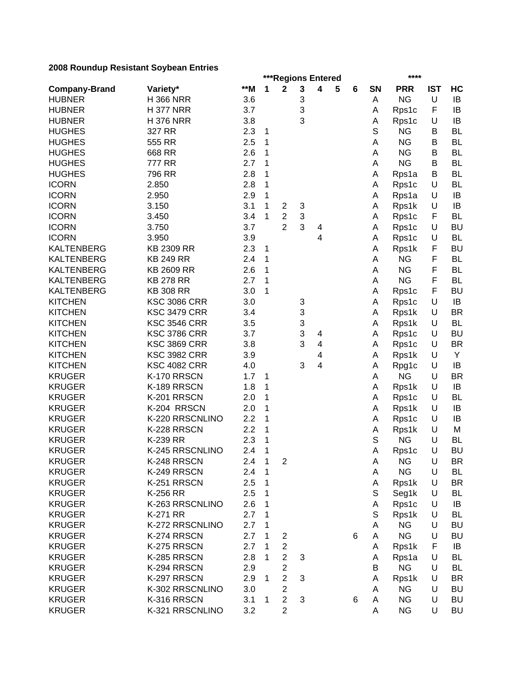|                      |                     |       |              | ***Regions Entered      |   |                         |   |   |        | ****               |            |           |
|----------------------|---------------------|-------|--------------|-------------------------|---|-------------------------|---|---|--------|--------------------|------------|-----------|
| <b>Company-Brand</b> | Variety*            | $**M$ | 1            | $\mathbf 2$             | 3 | $\overline{\mathbf{4}}$ | 5 | 6 | SN     | <b>PRR</b>         | <b>IST</b> | HC        |
| <b>HUBNER</b>        | <b>H366 NRR</b>     | 3.6   |              |                         | 3 |                         |   |   | A      | <b>NG</b>          | U          | IB        |
| <b>HUBNER</b>        | <b>H377 NRR</b>     | 3.7   |              |                         | 3 |                         |   |   | Α      | Rps1c              | F          | IB        |
| <b>HUBNER</b>        | <b>H376 NRR</b>     | 3.8   |              |                         | 3 |                         |   |   | Α      | Rps1c              | U          | IB        |
| <b>HUGHES</b>        | 327 RR              | 2.3   | 1            |                         |   |                         |   |   | S      | <b>NG</b>          | B          | <b>BL</b> |
| <b>HUGHES</b>        | 555 RR              | 2.5   | 1            |                         |   |                         |   |   | A      | <b>NG</b>          | В          | <b>BL</b> |
| <b>HUGHES</b>        | 668 RR              | 2.6   | 1            |                         |   |                         |   |   | A      | <b>NG</b>          | В          | <b>BL</b> |
| <b>HUGHES</b>        | 777 RR              | 2.7   | 1            |                         |   |                         |   |   | A      | <b>NG</b>          | В          | <b>BL</b> |
| <b>HUGHES</b>        | 796 RR              | 2.8   | 1            |                         |   |                         |   |   | А      | Rps1a              | B          | <b>BL</b> |
| <b>ICORN</b>         | 2.850               | 2.8   | 1            |                         |   |                         |   |   | А      | Rps1c              | U          | <b>BL</b> |
| <b>ICORN</b>         | 2.950               | 2.9   | 1            |                         |   |                         |   |   | А      | Rps1a              | U          | IB        |
| <b>ICORN</b>         | 3.150               | 3.1   | 1            | $\overline{c}$          | 3 |                         |   |   | А      | Rps1k              | U          | IB        |
| <b>ICORN</b>         | 3.450               | 3.4   | 1            | $\overline{c}$          | 3 |                         |   |   | А      | Rps1c              | F          | <b>BL</b> |
| <b>ICORN</b>         | 3.750               | 3.7   |              | $\overline{2}$          | 3 | 4                       |   |   | А      | Rps1c              | U          | <b>BU</b> |
| <b>ICORN</b>         | 3.950               | 3.9   |              |                         |   | 4                       |   |   | Α      | Rps1c              | U          | <b>BL</b> |
| <b>KALTENBERG</b>    | <b>KB 2309 RR</b>   | 2.3   | 1            |                         |   |                         |   |   | Α      | Rps1k              | F          | <b>BU</b> |
| <b>KALTENBERG</b>    | <b>KB 249 RR</b>    | 2.4   | 1            |                         |   |                         |   |   | Α      | <b>NG</b>          | F          | <b>BL</b> |
| <b>KALTENBERG</b>    | <b>KB 2609 RR</b>   | 2.6   | 1            |                         |   |                         |   |   | А      | <b>NG</b>          | F          | <b>BL</b> |
| <b>KALTENBERG</b>    | <b>KB 278 RR</b>    | 2.7   | 1            |                         |   |                         |   |   | Α      | <b>NG</b>          | F          | <b>BL</b> |
| <b>KALTENBERG</b>    | <b>KB 308 RR</b>    | 3.0   | 1            |                         |   |                         |   |   | А      | Rps1c              | F          | <b>BU</b> |
| <b>KITCHEN</b>       | <b>KSC 3086 CRR</b> | 3.0   |              |                         | 3 |                         |   |   | А      | Rps1c              | U          | IB        |
| <b>KITCHEN</b>       | <b>KSC 3479 CRR</b> | 3.4   |              |                         | 3 |                         |   |   | А      | Rps1k              | U          | <b>BR</b> |
| <b>KITCHEN</b>       | <b>KSC 3546 CRR</b> | 3.5   |              |                         | 3 |                         |   |   | Α      | Rps1k              | U          | <b>BL</b> |
| <b>KITCHEN</b>       | <b>KSC 3786 CRR</b> | 3.7   |              |                         | 3 | 4                       |   |   | Α      | Rps1c              | U          | <b>BU</b> |
| <b>KITCHEN</b>       | <b>KSC 3869 CRR</b> | 3.8   |              |                         | 3 | $\overline{4}$          |   |   | А      | Rps1c              | U          | <b>BR</b> |
| <b>KITCHEN</b>       | <b>KSC 3982 CRR</b> | 3.9   |              |                         |   | 4                       |   |   | Α      | Rps1k              | U          | Y         |
| <b>KITCHEN</b>       | <b>KSC 4082 CRR</b> | 4.0   |              |                         | 3 | $\overline{4}$          |   |   | А      | Rpg1c              | U          | IB        |
| <b>KRUGER</b>        | K-170 RRSCN         | 1.7   | 1            |                         |   |                         |   |   | Α      | <b>NG</b>          | U          | <b>BR</b> |
| <b>KRUGER</b>        | K-189 RRSCN         | 1.8   | 1            |                         |   |                         |   |   | Α      | Rps1k              | U          | IB        |
| <b>KRUGER</b>        | K-201 RRSCN         | 2.0   | 1            |                         |   |                         |   |   | Α      | Rps1c              | U          | <b>BL</b> |
| <b>KRUGER</b>        | K-204 RRSCN         | 2.0   | 1            |                         |   |                         |   |   | Α      | Rps1k              | U          | IB        |
| <b>KRUGER</b>        | K-220 RRSCNLINO     | 2.2   | 1            |                         |   |                         |   |   | Α      | Rps1c              | U          | IB        |
| <b>KRUGER</b>        | K-228 RRSCN         | 2.2   | 1            |                         |   |                         |   |   |        |                    | U          | M         |
| <b>KRUGER</b>        | K-239 RR            | 2.3   | 1            |                         |   |                         |   |   | Α<br>S | Rps1k<br><b>NG</b> | U          | <b>BL</b> |
| <b>KRUGER</b>        | K-245 RRSCNLINO     | 2.4   | 1            |                         |   |                         |   |   |        |                    | U          | <b>BU</b> |
|                      |                     |       | $\mathbf{1}$ |                         |   |                         |   |   | Α      | Rps1c              |            | <b>BR</b> |
| <b>KRUGER</b>        | K-248 RRSCN         | 2.4   |              | $\overline{c}$          |   |                         |   |   | A      | <b>NG</b>          | U          |           |
| <b>KRUGER</b>        | K-249 RRSCN         | 2.4   | 1            |                         |   |                         |   |   | Α      | <b>NG</b>          | U          | BL        |
| <b>KRUGER</b>        | K-251 RRSCN         | 2.5   | 1            |                         |   |                         |   |   | Α      | Rps1k              | U          | <b>BR</b> |
| <b>KRUGER</b>        | K-256 RR            | 2.5   | 1            |                         |   |                         |   |   | S      | Seg1k              | U          | BL        |
| <b>KRUGER</b>        | K-263 RRSCNLINO     | 2.6   | 1            |                         |   |                         |   |   | Α      | Rps1c              | U          | IB        |
| <b>KRUGER</b>        | K-271 RR            | 2.7   | 1            |                         |   |                         |   |   | S      | Rps1k              | U          | BL        |
| <b>KRUGER</b>        | K-272 RRSCNLINO     | 2.7   | 1            |                         |   |                         |   |   | A      | <b>NG</b>          | U          | <b>BU</b> |
| <b>KRUGER</b>        | K-274 RRSCN         | 2.7   | 1            | 2                       |   |                         |   | 6 | A      | <b>NG</b>          | U          | <b>BU</b> |
| <b>KRUGER</b>        | K-275 RRSCN         | 2.7   | 1            | $\overline{c}$          |   |                         |   |   | A      | Rps1k              | F          | IB        |
| <b>KRUGER</b>        | K-285 RRSCN         | 2.8   | 1            | $\overline{2}$          | 3 |                         |   |   | A      | Rps1a              | U          | <b>BL</b> |
| <b>KRUGER</b>        | K-294 RRSCN         | 2.9   |              | $\overline{c}$          |   |                         |   |   | В      | <b>NG</b>          | U          | BL        |
| <b>KRUGER</b>        | K-297 RRSCN         | 2.9   | 1            | $\overline{2}$          | 3 |                         |   |   | A      | Rps1k              | U          | <b>BR</b> |
| <b>KRUGER</b>        | K-302 RRSCNLINO     | 3.0   |              | $\overline{\mathbf{c}}$ |   |                         |   |   | A      | <b>NG</b>          | U          | <b>BU</b> |
| <b>KRUGER</b>        | K-316 RRSCN         | 3.1   | 1            | $\overline{2}$          | 3 |                         |   | 6 | Α      | <b>NG</b>          | U          | <b>BU</b> |
| <b>KRUGER</b>        | K-321 RRSCNLINO     | 3.2   |              | $\overline{2}$          |   |                         |   |   | Α      | <b>NG</b>          | U          | <b>BU</b> |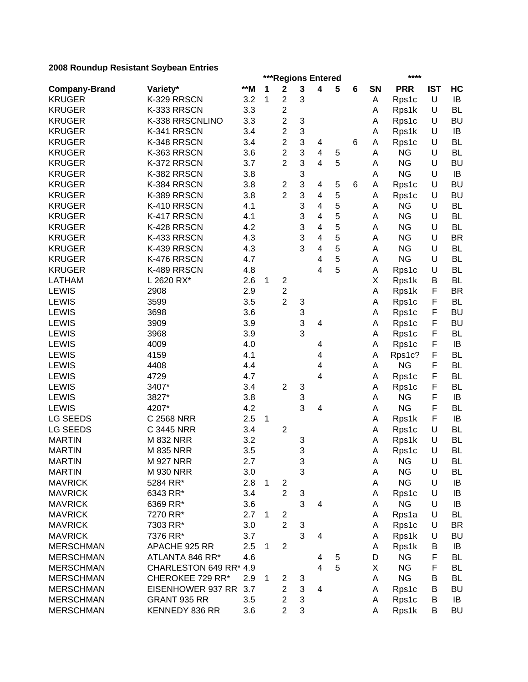|                      |                        |       |   |                                           |        | ***Regions Entered      |   |   |    | ****               |            |           |
|----------------------|------------------------|-------|---|-------------------------------------------|--------|-------------------------|---|---|----|--------------------|------------|-----------|
| <b>Company-Brand</b> | Variety*               | $**M$ | 1 | $\mathbf 2$                               | 3      | 4                       | 5 | 6 | SN | <b>PRR</b>         | <b>IST</b> | HC        |
| <b>KRUGER</b>        | K-329 RRSCN            | 3.2   | 1 | $\overline{c}$                            | 3      |                         |   |   | А  | Rps1c              | U          | IB        |
| <b>KRUGER</b>        | K-333 RRSCN            | 3.3   |   | $\overline{c}$                            |        |                         |   |   | Α  | Rps1k              | U          | <b>BL</b> |
| <b>KRUGER</b>        | K-338 RRSCNLINO        | 3.3   |   | $\overline{c}$                            | 3      |                         |   |   | Α  | Rps1c              | U          | <b>BU</b> |
| <b>KRUGER</b>        | K-341 RRSCN            | 3.4   |   | $\overline{c}$                            | 3      |                         |   |   | Α  | Rps1k              | U          | IB        |
| <b>KRUGER</b>        | K-348 RRSCN            | 3.4   |   | $\overline{c}$                            | 3      | 4                       |   | 6 | Α  | Rps1c              | U          | <b>BL</b> |
| <b>KRUGER</b>        | K-363 RRSCN            | 3.6   |   | $\overline{c}$                            | 3      | $\overline{\mathbf{4}}$ | 5 |   | A  | <b>NG</b>          | U          | <b>BL</b> |
| <b>KRUGER</b>        | K-372 RRSCN            | 3.7   |   | $\overline{2}$                            | 3      | $\overline{4}$          | 5 |   | Α  | <b>NG</b>          | U          | <b>BU</b> |
| <b>KRUGER</b>        | K-382 RRSCN            | 3.8   |   |                                           | 3      |                         |   |   | A  | <b>NG</b>          | U          | IB        |
| <b>KRUGER</b>        | K-384 RRSCN            | 3.8   |   | $\overline{c}$                            | 3      | 4                       | 5 | 6 | A  | Rps1c              | U          | <b>BU</b> |
| <b>KRUGER</b>        | K-389 RRSCN            | 3.8   |   | $\overline{2}$                            | 3      | 4                       | 5 |   | Α  | Rps1c              | U          | <b>BU</b> |
| <b>KRUGER</b>        | K-410 RRSCN            | 4.1   |   |                                           | 3      | 4                       | 5 |   | Α  | <b>NG</b>          | U          | <b>BL</b> |
| <b>KRUGER</b>        | K-417 RRSCN            | 4.1   |   |                                           | 3      | 4                       | 5 |   | A  | <b>NG</b>          | U          | <b>BL</b> |
| <b>KRUGER</b>        | K-428 RRSCN            | 4.2   |   |                                           | 3      | $\overline{4}$          | 5 |   | Α  | <b>NG</b>          | U          | <b>BL</b> |
| <b>KRUGER</b>        | K-433 RRSCN            | 4.3   |   |                                           | 3      | 4                       | 5 |   | A  | <b>NG</b>          | U          | <b>BR</b> |
| <b>KRUGER</b>        | K-439 RRSCN            | 4.3   |   |                                           | 3      | 4                       | 5 |   | A  | <b>NG</b>          | U          | <b>BL</b> |
| <b>KRUGER</b>        | K-476 RRSCN            | 4.7   |   |                                           |        | 4                       | 5 |   | A  | <b>NG</b>          | U          | <b>BL</b> |
| <b>KRUGER</b>        | K-489 RRSCN            | 4.8   |   |                                           |        | 4                       | 5 |   | Α  | Rps1c              | U          | <b>BL</b> |
| <b>LATHAM</b>        | L 2620 RX*             | 2.6   | 1 | 2                                         |        |                         |   |   | X  | Rps1k              | B          | <b>BL</b> |
| <b>LEWIS</b>         | 2908                   | 2.9   |   | $\overline{c}$                            |        |                         |   |   | Α  | Rps1k              | F          | <b>BR</b> |
| <b>LEWIS</b>         | 3599                   | 3.5   |   | $\overline{2}$                            | 3      |                         |   |   | Α  | Rps1c              | F          | <b>BL</b> |
| <b>LEWIS</b>         | 3698                   | 3.6   |   |                                           | 3      |                         |   |   | Α  | Rps1c              | F          | <b>BU</b> |
| <b>LEWIS</b>         | 3909                   | 3.9   |   |                                           | 3      | 4                       |   |   | Α  | Rps1c              | F          | <b>BU</b> |
| <b>LEWIS</b>         | 3968                   | 3.9   |   |                                           | 3      |                         |   |   | Α  | Rps1c              | F          | <b>BL</b> |
| <b>LEWIS</b>         | 4009                   | 4.0   |   |                                           |        | 4                       |   |   | Α  | Rps1c              | F          | IB        |
| <b>LEWIS</b>         | 4159                   | 4.1   |   |                                           |        | 4                       |   |   | Α  | Rps1c?             | F          | <b>BL</b> |
| <b>LEWIS</b>         | 4408                   | 4.4   |   |                                           |        | 4                       |   |   | A  | <b>NG</b>          | F          | <b>BL</b> |
| <b>LEWIS</b>         | 4729                   | 4.7   |   |                                           |        | 4                       |   |   | Α  | Rps1c              | F          | <b>BL</b> |
| <b>LEWIS</b>         | 3407*                  | 3.4   |   | $\overline{2}$                            | 3      |                         |   |   | Α  | Rps1c              | F          | <b>BL</b> |
| <b>LEWIS</b>         | 3827*                  | 3.8   |   |                                           | 3      |                         |   |   | A  | <b>NG</b>          | F          | IB        |
| <b>LEWIS</b>         | 4207*                  | 4.2   |   |                                           | 3      | 4                       |   |   | A  | <b>NG</b>          | F          | <b>BL</b> |
| <b>LG SEEDS</b>      | C 2568 NRR             | 2.5   | 1 |                                           |        |                         |   |   | Α  | Rps1k              | F          | IB        |
| <b>LG SEEDS</b>      | C 3445 NRR             | 3.4   |   | $\overline{2}$                            |        |                         |   |   | A  | Rps1c              | U          | <b>BL</b> |
| <b>MARTIN</b>        | <b>M 832 NRR</b>       | 3.2   |   |                                           | 3      |                         |   |   | Α  | Rps1k              | U          | <b>BL</b> |
| <b>MARTIN</b>        | <b>M 835 NRR</b>       | 3.5   |   |                                           | 3      |                         |   |   | A  | Rps1c              | U          | <b>BL</b> |
| <b>MARTIN</b>        | <b>M 927 NRR</b>       | 2.7   |   |                                           | 3      |                         |   |   | A  | <b>NG</b>          | U          | BL        |
| <b>MARTIN</b>        | M 930 NRR              | 3.0   |   |                                           | 3      |                         |   |   | Α  | NG                 | U          | <b>BL</b> |
| <b>MAVRICK</b>       | 5284 RR*               | 2.8   | 1 |                                           |        |                         |   |   | Α  | <b>NG</b>          | U          | IB        |
| <b>MAVRICK</b>       | 6343 RR*               | 3.4   |   | $\overline{\mathbf{c}}$<br>$\overline{2}$ | 3      |                         |   |   |    |                    | U          | IB        |
|                      |                        |       |   |                                           | 3      | 4                       |   |   | Α  | Rps1c<br><b>NG</b> | U          |           |
| <b>MAVRICK</b>       | 6369 RR*               | 3.6   |   |                                           |        |                         |   |   | Α  |                    |            | IB        |
| <b>MAVRICK</b>       | 7270 RR*               | 2.7   | 1 | $\overline{c}$                            |        |                         |   |   | Α  | Rps1a              | U          | BL        |
| <b>MAVRICK</b>       | 7303 RR*               | 3.0   |   | $\overline{c}$                            | 3<br>3 |                         |   |   | Α  | Rps1c              | U          | <b>BR</b> |
| <b>MAVRICK</b>       | 7376 RR*               | 3.7   |   |                                           |        | 4                       |   |   | Α  | Rps1k              | U          | <b>BU</b> |
| <b>MERSCHMAN</b>     | APACHE 925 RR          | 2.5   | 1 | $\overline{2}$                            |        |                         |   |   | Α  | Rps1k              | В          | IB        |
| <b>MERSCHMAN</b>     | ATLANTA 846 RR*        | 4.6   |   |                                           |        | 4                       | 5 |   | D  | ΝG                 | F          | BL        |
| <b>MERSCHMAN</b>     | CHARLESTON 649 RR* 4.9 |       |   |                                           |        | 4                       | 5 |   | Χ  | <b>NG</b>          | F          | <b>BL</b> |
| <b>MERSCHMAN</b>     | CHEROKEE 729 RR*       | 2.9   | 1 | 2                                         | 3      |                         |   |   | A  | <b>NG</b>          | В          | <b>BL</b> |
| <b>MERSCHMAN</b>     | EISENHOWER 937 RR      | 3.7   |   | 2                                         | 3      | 4                       |   |   | Α  | Rps1c              | В          | <b>BU</b> |
| <b>MERSCHMAN</b>     | GRANT 935 RR           | 3.5   |   | $\overline{c}$                            | 3      |                         |   |   | A  | Rps1c              | В          | IB        |
| <b>MERSCHMAN</b>     | KENNEDY 836 RR         | 3.6   |   | $\overline{c}$                            | 3      |                         |   |   | Α  | Rps1k              | B          | <b>BU</b> |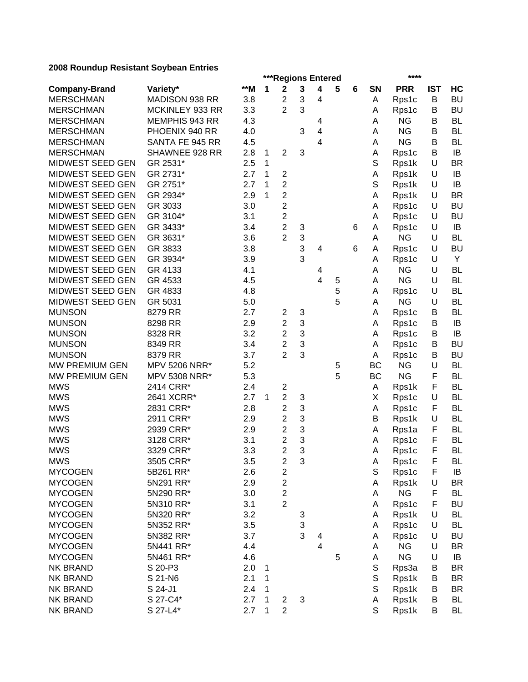|                      |                 |       |   | ***Regions Entered      |                           |                |   |   |             | ****       |            |           |
|----------------------|-----------------|-------|---|-------------------------|---------------------------|----------------|---|---|-------------|------------|------------|-----------|
| <b>Company-Brand</b> | Variety*        | $**M$ | 1 | $\mathbf 2$             | $\mathbf 3$               | 4              | 5 | 6 | <b>SN</b>   | <b>PRR</b> | <b>IST</b> | HC        |
| <b>MERSCHMAN</b>     | MADISON 938 RR  | 3.8   |   | $\overline{c}$          | 3                         | 4              |   |   | Α           | Rps1c      | B          | <b>BU</b> |
| <b>MERSCHMAN</b>     | MCKINLEY 933 RR | 3.3   |   | $\overline{2}$          | 3                         |                |   |   | Α           | Rps1c      | В          | <b>BU</b> |
| <b>MERSCHMAN</b>     | MEMPHIS 943 RR  | 4.3   |   |                         |                           | 4              |   |   | Α           | <b>NG</b>  | В          | <b>BL</b> |
| <b>MERSCHMAN</b>     | PHOENIX 940 RR  | 4.0   |   |                         | 3                         | $\overline{4}$ |   |   | A           | <b>NG</b>  | B          | <b>BL</b> |
| <b>MERSCHMAN</b>     | SANTA FE 945 RR | 4.5   |   |                         |                           | $\overline{4}$ |   |   | А           | <b>NG</b>  | В          | <b>BL</b> |
| <b>MERSCHMAN</b>     | SHAWNEE 928 RR  | 2.8   | 1 | $\overline{2}$          | 3                         |                |   |   | Α           | Rps1c      | В          | IB        |
| MIDWEST SEED GEN     | GR 2531*        | 2.5   | 1 |                         |                           |                |   |   | S           | Rps1k      | U          | <b>BR</b> |
| MIDWEST SEED GEN     | GR 2731*        | 2.7   | 1 | $\boldsymbol{2}$        |                           |                |   |   | Α           | Rps1k      | U          | IB        |
| MIDWEST SEED GEN     | GR 2751*        | 2.7   | 1 | $\overline{c}$          |                           |                |   |   | $\mathbb S$ | Rps1k      | U          | IB        |
| MIDWEST SEED GEN     | GR 2934*        | 2.9   | 1 | $\overline{\mathbf{c}}$ |                           |                |   |   | Α           | Rps1k      | U          | <b>BR</b> |
| MIDWEST SEED GEN     | GR 3033         | 3.0   |   | $\overline{c}$          |                           |                |   |   | A           | Rps1c      | U          | <b>BU</b> |
| MIDWEST SEED GEN     | GR 3104*        | 3.1   |   | $\overline{\mathbf{c}}$ |                           |                |   |   | Α           | Rps1c      | U          | <b>BU</b> |
| MIDWEST SEED GEN     | GR 3433*        | 3.4   |   | $\overline{c}$          | 3                         |                |   | 6 | Α           | Rps1c      | U          | IB        |
| MIDWEST SEED GEN     | GR 3631*        | 3.6   |   | $\overline{2}$          | 3                         |                |   |   | Α           | <b>NG</b>  | U          | <b>BL</b> |
| MIDWEST SEED GEN     | GR 3833         | 3.8   |   |                         | 3                         | 4              |   | 6 | Α           | Rps1c      | U          | <b>BU</b> |
| MIDWEST SEED GEN     | GR 3934*        | 3.9   |   |                         | 3                         |                |   |   | Α           | Rps1c      | U          | Y         |
| MIDWEST SEED GEN     | GR 4133         | 4.1   |   |                         |                           | 4              |   |   | Α           | <b>NG</b>  | U          | <b>BL</b> |
| MIDWEST SEED GEN     | GR 4533         | 4.5   |   |                         |                           | 4              | 5 |   | Α           | <b>NG</b>  | U          | <b>BL</b> |
| MIDWEST SEED GEN     | GR 4833         | 4.8   |   |                         |                           |                | 5 |   | Α           | Rps1c      | U          | BL        |
| MIDWEST SEED GEN     | GR 5031         | 5.0   |   |                         |                           |                | 5 |   | A           | <b>NG</b>  | U          | <b>BL</b> |
| <b>MUNSON</b>        | 8279 RR         | 2.7   |   | $\overline{\mathbf{c}}$ | 3                         |                |   |   | Α           | Rps1c      | B          | <b>BL</b> |
| <b>MUNSON</b>        | 8298 RR         | 2.9   |   | $\overline{c}$          | 3                         |                |   |   | A           | Rps1c      | B          | IB        |
| <b>MUNSON</b>        | 8328 RR         | 3.2   |   | $\mathbf{2}$            | 3                         |                |   |   | Α           | Rps1c      | B          | IB        |
| <b>MUNSON</b>        | 8349 RR         | 3.4   |   | $\overline{2}$          | 3                         |                |   |   | A           | Rps1c      | B          | <b>BU</b> |
| <b>MUNSON</b>        | 8379 RR         | 3.7   |   | $\overline{2}$          | 3                         |                |   |   | A           | Rps1c      | В          | <b>BU</b> |
| MW PREMIUM GEN       | MPV 5206 NRR*   | 5.2   |   |                         |                           |                | 5 |   | BC          | <b>NG</b>  | U          | <b>BL</b> |
| MW PREMIUM GEN       | MPV 5308 NRR*   | 5.3   |   |                         |                           |                | 5 |   | BC          | <b>NG</b>  | F          | <b>BL</b> |
| <b>MWS</b>           | 2414 CRR*       | 2.4   |   | $\overline{\mathbf{c}}$ |                           |                |   |   | A           | Rps1k      | F          | <b>BL</b> |
| <b>MWS</b>           | 2641 XCRR*      | 2.7   | 1 | $\overline{2}$          | 3                         |                |   |   | X           | Rps1c      | U          | <b>BL</b> |
| <b>MWS</b>           | 2831 CRR*       | 2.8   |   | $\mathbf{2}$            | 3                         |                |   |   | Α           | Rps1c      | F          | <b>BL</b> |
| <b>MWS</b>           | 2911 CRR*       | 2.9   |   | $\overline{c}$          | 3                         |                |   |   | B           | Rps1k      | U          | <b>BL</b> |
| <b>MWS</b>           | 2939 CRR*       | 2.9   |   | 2                       | 3                         |                |   |   | Α           | Rps1a      | F          | <b>BL</b> |
| <b>MWS</b>           | 3128 CRR*       | 3.1   |   | $\overline{c}$          | 3                         |                |   |   | A           | Rps1c      | F          | <b>BL</b> |
| <b>MWS</b>           | 3329 CRR*       | 3.3   |   | $\overline{2}$          | 3                         |                |   |   | A           | Rps1c      | F          | <b>BL</b> |
| <b>MWS</b>           | 3505 CRR*       | 3.5   |   | $\overline{c}$          | $\ensuremath{\mathsf{3}}$ |                |   |   | A           | Rps1c      | F          | BL        |
| <b>MYCOGEN</b>       | 5B261 RR*       | 2.6   |   | $\overline{\mathbf{c}}$ |                           |                |   |   | $\mathbb S$ | Rps1c      | F          | IB        |
| <b>MYCOGEN</b>       | 5N291 RR*       | 2.9   |   | $\overline{\mathbf{c}}$ |                           |                |   |   | Α           | Rps1k      | U          | <b>BR</b> |
| <b>MYCOGEN</b>       | 5N290 RR*       | 3.0   |   | $\overline{c}$          |                           |                |   |   | Α           | <b>NG</b>  | F          | <b>BL</b> |
| <b>MYCOGEN</b>       | 5N310 RR*       | 3.1   |   | $\overline{c}$          |                           |                |   |   | Α           | Rps1c      | F          | <b>BU</b> |
| <b>MYCOGEN</b>       | 5N320 RR*       | 3.2   |   |                         | 3                         |                |   |   | Α           | Rps1k      | U          | <b>BL</b> |
| <b>MYCOGEN</b>       | 5N352 RR*       | 3.5   |   |                         | 3                         |                |   |   | Α           | Rps1c      | U          | BL        |
| <b>MYCOGEN</b>       | 5N382 RR*       | 3.7   |   |                         | 3                         | 4              |   |   | Α           | Rps1c      | U          | <b>BU</b> |
| <b>MYCOGEN</b>       | 5N441 RR*       | 4.4   |   |                         |                           | 4              |   |   | A           | <b>NG</b>  | U          | <b>BR</b> |
| <b>MYCOGEN</b>       | 5N461 RR*       | 4.6   |   |                         |                           |                | 5 |   | Α           | <b>NG</b>  | U          | IB        |
| <b>NK BRAND</b>      | S 20-P3         | 2.0   | 1 |                         |                           |                |   |   | $\mathbb S$ | Rps3a      | В          | <b>BR</b> |
| <b>NK BRAND</b>      | S 21-N6         | 2.1   | 1 |                         |                           |                |   |   | S           | Rps1k      | B          | <b>BR</b> |
| <b>NK BRAND</b>      | S 24-J1         | 2.4   | 1 |                         |                           |                |   |   | S           | Rps1k      | B          | BR        |
| <b>NK BRAND</b>      | S 27-C4*        | 2.7   | 1 | $\sqrt{2}$              | $\sqrt{3}$                |                |   |   | Α           | Rps1k      | B          | <b>BL</b> |
| <b>NK BRAND</b>      | S 27-L4*        | 2.7   | 1 | $\overline{2}$          |                           |                |   |   | S           | Rps1k      | B          | <b>BL</b> |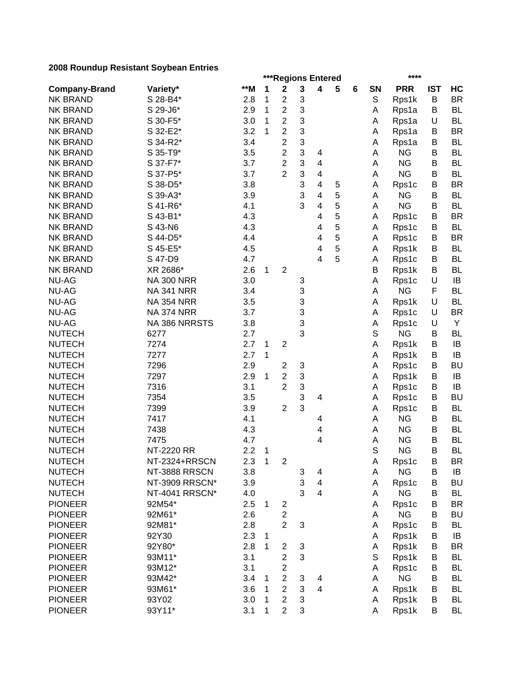|                      |                   |     |              | ***Regions Entered |   |                |   |   |    | ****       |            |           |
|----------------------|-------------------|-----|--------------|--------------------|---|----------------|---|---|----|------------|------------|-----------|
| <b>Company-Brand</b> | Variety*          | **M | 1            | $\mathbf 2$        | 3 | 4              | 5 | 6 | SN | <b>PRR</b> | <b>IST</b> | HC        |
| <b>NK BRAND</b>      | S 28-B4*          | 2.8 | 1            | 2                  | 3 |                |   |   | S  | Rps1k      | B          | <b>BR</b> |
| <b>NK BRAND</b>      | S 29-J6*          | 2.9 | 1            | $\overline{c}$     | 3 |                |   |   | A  | Rps1a      | B          | <b>BL</b> |
| <b>NK BRAND</b>      | S 30-F5*          | 3.0 | 1            | $\overline{c}$     | 3 |                |   |   | Α  | Rps1a      | U          | <b>BL</b> |
| <b>NK BRAND</b>      | S 32-E2*          | 3.2 | 1            | $\overline{2}$     | 3 |                |   |   | A  | Rps1a      | В          | <b>BR</b> |
| <b>NK BRAND</b>      | S 34-R2*          | 3.4 |              | $\overline{c}$     | 3 |                |   |   | Α  | Rps1a      | В          | <b>BL</b> |
| <b>NK BRAND</b>      | S 35-T9*          | 3.5 |              | $\overline{c}$     | 3 | 4              |   |   | Α  | <b>NG</b>  | B          | <b>BL</b> |
| <b>NK BRAND</b>      | S 37-F7*          | 3.7 |              | $\overline{2}$     | 3 | $\overline{4}$ |   |   | Α  | <b>NG</b>  | В          | <b>BL</b> |
| <b>NK BRAND</b>      | S 37-P5*          | 3.7 |              | $\overline{2}$     | 3 | $\overline{4}$ |   |   | Α  | <b>NG</b>  | B          | <b>BL</b> |
| <b>NK BRAND</b>      | S 38-D5*          | 3.8 |              |                    | 3 | 4              | 5 |   | Α  | Rps1c      | В          | <b>BR</b> |
| <b>NK BRAND</b>      | S 39-A3*          | 3.9 |              |                    | 3 | 4              | 5 |   | A  | <b>NG</b>  | В          | <b>BL</b> |
| <b>NK BRAND</b>      | S 41-R6*          | 4.1 |              |                    | 3 | 4              | 5 |   | A  | <b>NG</b>  | В          | <b>BL</b> |
| <b>NK BRAND</b>      | S 43-B1*          | 4.3 |              |                    |   | 4              | 5 |   | A  | Rps1c      | В          | <b>BR</b> |
| <b>NK BRAND</b>      | S 43-N6           | 4.3 |              |                    |   | 4              | 5 |   | A  | Rps1c      | В          | <b>BL</b> |
| <b>NK BRAND</b>      | S 44-D5*          | 4.4 |              |                    |   | 4              | 5 |   | A  | Rps1c      | В          | <b>BR</b> |
| <b>NK BRAND</b>      | S 45-E5*          | 4.5 |              |                    |   | 4              | 5 |   | A  | Rps1k      | В          | <b>BL</b> |
| <b>NK BRAND</b>      | S 47-D9           | 4.7 |              |                    |   | 4              | 5 |   | А  | Rps1c      | B          | <b>BL</b> |
| <b>NK BRAND</b>      | XR 2686*          | 2.6 | 1            | $\overline{2}$     |   |                |   |   | B  | Rps1k      | B          | <b>BL</b> |
| <b>NU-AG</b>         | <b>NA 300 NRR</b> | 3.0 |              |                    | 3 |                |   |   | Α  | Rps1c      | U          | IB        |
| <b>NU-AG</b>         | <b>NA 341 NRR</b> | 3.4 |              |                    | 3 |                |   |   | Α  | <b>NG</b>  | F          | <b>BL</b> |
| <b>NU-AG</b>         | <b>NA 354 NRR</b> | 3.5 |              |                    | 3 |                |   |   | А  | Rps1k      | U          | <b>BL</b> |
| <b>NU-AG</b>         | <b>NA 374 NRR</b> | 3.7 |              |                    | 3 |                |   |   | Α  | Rps1c      | U          | <b>BR</b> |
| <b>NU-AG</b>         | NA 386 NRRSTS     | 3.8 |              |                    | 3 |                |   |   | Α  | Rps1c      | U          | Y         |
| <b>NUTECH</b>        | 6277              | 2.7 |              |                    | 3 |                |   |   | S  | <b>NG</b>  | В          | <b>BL</b> |
| <b>NUTECH</b>        | 7274              | 2.7 | 1            | $\overline{c}$     |   |                |   |   | Α  | Rps1k      | В          | IB        |
| <b>NUTECH</b>        | 7277              | 2.7 | 1            |                    |   |                |   |   | Α  | Rps1k      | B          | IB        |
| <b>NUTECH</b>        | 7296              | 2.9 |              | $\overline{c}$     | 3 |                |   |   | Α  | Rps1c      | B          | <b>BU</b> |
| <b>NUTECH</b>        | 7297              | 2.9 | 1            | $\overline{c}$     | 3 |                |   |   | A  | Rps1k      | B          | IB        |
| <b>NUTECH</b>        | 7316              | 3.1 |              | $\overline{2}$     | 3 |                |   |   | A  | Rps1c      | B          | IB        |
| <b>NUTECH</b>        | 7354              | 3.5 |              |                    | 3 | 4              |   |   | A  | Rps1c      | В          | <b>BU</b> |
| <b>NUTECH</b>        | 7399              | 3.9 |              | $\overline{2}$     | 3 |                |   |   | A  | Rps1c      | В          | <b>BL</b> |
| <b>NUTECH</b>        | 7417              | 4.1 |              |                    |   | 4              |   |   | А  | <b>NG</b>  | В          | <b>BL</b> |
| <b>NUTECH</b>        | 7438              | 4.3 |              |                    |   | 4              |   |   | А  | <b>NG</b>  | B          | <b>BL</b> |
| <b>NUTECH</b>        | 7475              | 4.7 |              |                    |   | 4              |   |   | Α  | <b>NG</b>  | B          | <b>BL</b> |
| <b>NUTECH</b>        | NT-2220 RR        | 2.2 | 1            |                    |   |                |   |   | S  | <b>NG</b>  | B          | <b>BL</b> |
| <b>NUTECH</b>        | NT-2324+RRSCN     | 2.3 | $\mathbf{1}$ | $\overline{c}$     |   |                |   |   | A  | Rps1c      | В          | BR        |
| <b>NUTECH</b>        | NT-3888 RRSCN     | 3.8 |              |                    | 3 | 4              |   |   | Α  | <b>NG</b>  | B          | IB        |
| <b>NUTECH</b>        | NT-3909 RRSCN*    | 3.9 |              |                    | 3 | 4              |   |   | Α  | Rps1c      | B          | <b>BU</b> |
| <b>NUTECH</b>        | NT-4041 RRSCN*    | 4.0 |              |                    | 3 | 4              |   |   | Α  | <b>NG</b>  | В          | <b>BL</b> |
| <b>PIONEER</b>       | 92M54*            | 2.5 | 1            | $\overline{c}$     |   |                |   |   | Α  | Rps1c      | В          | <b>BR</b> |
| <b>PIONEER</b>       | 92M61*            | 2.6 |              | $\overline{c}$     |   |                |   |   | A  | <b>NG</b>  | B          | <b>BU</b> |
| <b>PIONEER</b>       | 92M81*            | 2.8 |              | $\overline{2}$     | 3 |                |   |   | Α  | Rps1c      | B          | <b>BL</b> |
| <b>PIONEER</b>       | 92Y30             | 2.3 | 1            |                    |   |                |   |   | Α  | Rps1k      | B          | IB        |
| <b>PIONEER</b>       | 92Y80*            | 2.8 | 1            | $\overline{c}$     | 3 |                |   |   | Α  | Rps1k      | В          | <b>BR</b> |
| <b>PIONEER</b>       | 93M11*            | 3.1 |              | $\overline{2}$     | 3 |                |   |   | S  | Rps1k      | B          | <b>BL</b> |
| <b>PIONEER</b>       | 93M12*            | 3.1 |              | $\overline{c}$     |   |                |   |   | A  | Rps1c      | В          | <b>BL</b> |
| <b>PIONEER</b>       | 93M42*            | 3.4 | 1            | $\overline{2}$     | 3 | 4              |   |   | A  | <b>NG</b>  | В          | <b>BL</b> |
| <b>PIONEER</b>       | 93M61*            | 3.6 | 1            | $\overline{2}$     | 3 | 4              |   |   | Α  | Rps1k      | В          | <b>BL</b> |
| <b>PIONEER</b>       | 93Y02             | 3.0 | 1            | $\overline{2}$     | 3 |                |   |   | A  | Rps1k      | В          | <b>BL</b> |
| <b>PIONEER</b>       | 93Y11*            | 3.1 | 1            | $\overline{2}$     | 3 |                |   |   | A  | Rps1k      | В          | <b>BL</b> |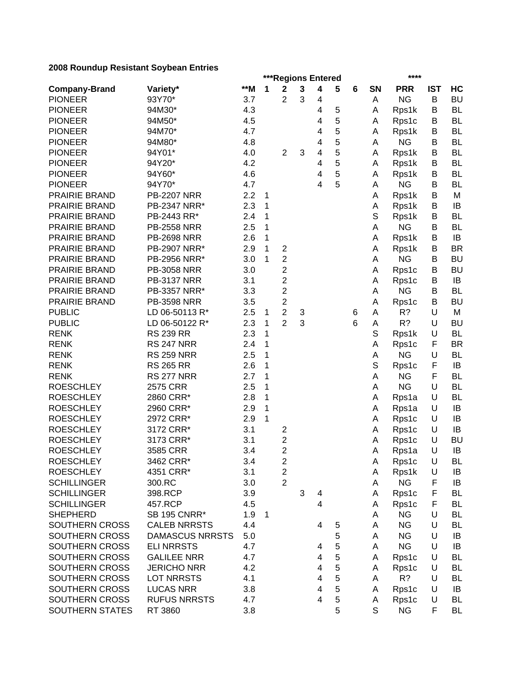|                      |                     |     |              | ***Regions Entered                        |             |                         |   |   |           | ****       |             |           |
|----------------------|---------------------|-----|--------------|-------------------------------------------|-------------|-------------------------|---|---|-----------|------------|-------------|-----------|
| <b>Company-Brand</b> | Variety*            | **M | 1            | $\mathbf 2$                               | $\mathbf 3$ | 4                       | 5 | 6 | <b>SN</b> | <b>PRR</b> | <b>IST</b>  | HC        |
| <b>PIONEER</b>       | 93Y70*              | 3.7 |              | 2                                         | 3           | 4                       |   |   | Α         | <b>NG</b>  | B           | <b>BU</b> |
| <b>PIONEER</b>       | 94M30*              | 4.3 |              |                                           |             | 4                       | 5 |   | A         | Rps1k      | В           | <b>BL</b> |
| <b>PIONEER</b>       | 94M50*              | 4.5 |              |                                           |             | 4                       | 5 |   | Α         | Rps1c      | В           | <b>BL</b> |
| <b>PIONEER</b>       | 94M70*              | 4.7 |              |                                           |             | 4                       | 5 |   | Α         | Rps1k      | B           | <b>BL</b> |
| <b>PIONEER</b>       | 94M80*              | 4.8 |              |                                           |             | 4                       | 5 |   | Α         | <b>NG</b>  | В           | <b>BL</b> |
| <b>PIONEER</b>       | 94Y01*              | 4.0 |              | $\overline{2}$                            | 3           | 4                       | 5 |   | Α         | Rps1k      | В           | <b>BL</b> |
| <b>PIONEER</b>       | 94Y20*              | 4.2 |              |                                           |             | 4                       | 5 |   | Α         | Rps1k      | В           | <b>BL</b> |
| <b>PIONEER</b>       | 94Y60*              | 4.6 |              |                                           |             | 4                       | 5 |   | A         | Rps1k      | B           | <b>BL</b> |
| <b>PIONEER</b>       | 94Y70*              | 4.7 |              |                                           |             | 4                       | 5 |   | Α         | <b>NG</b>  | В           | <b>BL</b> |
| PRAIRIE BRAND        | <b>PB-2207 NRR</b>  | 2.2 | 1            |                                           |             |                         |   |   | Α         | Rps1k      | B           | M         |
| PRAIRIE BRAND        | PB-2347 NRR*        | 2.3 | 1            |                                           |             |                         |   |   | Α         | Rps1k      | B           | IB        |
| PRAIRIE BRAND        | PB-2443 RR*         | 2.4 | 1            |                                           |             |                         |   |   | S         | Rps1k      | В           | <b>BL</b> |
| PRAIRIE BRAND        | <b>PB-2558 NRR</b>  | 2.5 | 1            |                                           |             |                         |   |   | A         | <b>NG</b>  | B           | <b>BL</b> |
| PRAIRIE BRAND        | <b>PB-2698 NRR</b>  | 2.6 | 1            |                                           |             |                         |   |   | А         | Rps1k      | B           | IB        |
| PRAIRIE BRAND        | PB-2907 NRR*        |     | 1            |                                           |             |                         |   |   |           |            |             | <b>BR</b> |
|                      | PB-2956 NRR*        | 2.9 | 1            | $\overline{\mathbf{c}}$<br>$\overline{2}$ |             |                         |   |   | Α         | Rps1k      | В<br>B      |           |
| PRAIRIE BRAND        |                     | 3.0 |              |                                           |             |                         |   |   | A         | <b>NG</b>  |             | <b>BU</b> |
| PRAIRIE BRAND        | <b>PB-3058 NRR</b>  | 3.0 |              | $\overline{\mathbf{c}}$                   |             |                         |   |   | Α         | Rps1c      | B           | <b>BU</b> |
| PRAIRIE BRAND        | <b>PB-3137 NRR</b>  | 3.1 |              | $\overline{2}$                            |             |                         |   |   | Α         | Rps1c      | B           | IB        |
| PRAIRIE BRAND        | PB-3357 NRR*        | 3.3 |              | $\overline{2}$                            |             |                         |   |   | A         | <b>NG</b>  | В           | <b>BL</b> |
| PRAIRIE BRAND        | <b>PB-3598 NRR</b>  | 3.5 |              | $\overline{\mathbf{c}}$                   |             |                         |   |   | Α         | Rps1c      | B           | <b>BU</b> |
| <b>PUBLIC</b>        | LD 06-50113 R*      | 2.5 | 1            | $\overline{2}$                            | 3           |                         |   | 6 | A         | R?         | U           | M         |
| <b>PUBLIC</b>        | LD 06-50122 R*      | 2.3 | 1            | $\overline{2}$                            | 3           |                         |   | 6 | Α         | R?         | U           | <b>BU</b> |
| <b>RENK</b>          | <b>RS 239 RR</b>    | 2.3 | 1            |                                           |             |                         |   |   | S         | Rps1k      | U           | <b>BL</b> |
| <b>RENK</b>          | <b>RS 247 NRR</b>   | 2.4 | 1            |                                           |             |                         |   |   | A         | Rps1c      | F           | <b>BR</b> |
| <b>RENK</b>          | <b>RS 259 NRR</b>   | 2.5 | 1            |                                           |             |                         |   |   | Α         | <b>NG</b>  | U           | <b>BL</b> |
| <b>RENK</b>          | <b>RS 265 RR</b>    | 2.6 | 1            |                                           |             |                         |   |   | S         | Rps1c      | F           | IB        |
| <b>RENK</b>          | <b>RS 277 NRR</b>   | 2.7 | 1            |                                           |             |                         |   |   | Α         | <b>NG</b>  | F           | <b>BL</b> |
| <b>ROESCHLEY</b>     | 2575 CRR            | 2.5 | 1            |                                           |             |                         |   |   | A         | <b>NG</b>  | U           | <b>BL</b> |
| <b>ROESCHLEY</b>     | 2860 CRR*           | 2.8 | 1            |                                           |             |                         |   |   | Α         | Rps1a      | U           | <b>BL</b> |
| <b>ROESCHLEY</b>     | 2960 CRR*           | 2.9 | 1            |                                           |             |                         |   |   | Α         | Rps1a      | U           | IB        |
| <b>ROESCHLEY</b>     | 2972 CRR*           | 2.9 | $\mathbf{1}$ |                                           |             |                         |   |   | Α         | Rps1c      | U           | IB        |
| <b>ROESCHLEY</b>     | 3172 CRR*           | 3.1 |              | $\overline{\mathbf{c}}$                   |             |                         |   |   | Α         | Rps1c      | U           | IB        |
| <b>ROESCHLEY</b>     | 3173 CRR*           | 3.1 |              | $\overline{c}$                            |             |                         |   |   | Α         | Rps1c      | U           | <b>BU</b> |
| <b>ROESCHLEY</b>     | 3585 CRR            | 3.4 |              | $\overline{c}$                            |             |                         |   |   | A         | Rps1a      | U           | IB        |
| <b>ROESCHLEY</b>     | 3462 CRR*           | 3.4 |              | $\overline{c}$                            |             |                         |   |   | A         | Rps1c      | $\mathsf U$ | <b>BL</b> |
| <b>ROESCHLEY</b>     | 4351 CRR*           | 3.1 |              | 2                                         |             |                         |   |   | Α         | Rps1k      | U           | IB        |
| <b>SCHILLINGER</b>   | 300.RC              | 3.0 |              | $\overline{2}$                            |             |                         |   |   | Α         | <b>NG</b>  | F           | IB        |
| <b>SCHILLINGER</b>   | 398.RCP             | 3.9 |              |                                           | 3           | 4                       |   |   | Α         | Rps1c      | F           | <b>BL</b> |
| <b>SCHILLINGER</b>   | 457.RCP             | 4.5 |              |                                           |             | $\overline{\mathbf{4}}$ |   |   | Α         | Rps1c      | F           | <b>BL</b> |
| <b>SHEPHERD</b>      | <b>SB 195 CNRR*</b> | 1.9 | 1            |                                           |             |                         |   |   | Α         | <b>NG</b>  | U           | <b>BL</b> |
| SOUTHERN CROSS       | <b>CALEB NRRSTS</b> | 4.4 |              |                                           |             | 4                       | 5 |   | Α         | <b>NG</b>  | U           | <b>BL</b> |
| SOUTHERN CROSS       | DAMASCUS NRRSTS     | 5.0 |              |                                           |             |                         | 5 |   | Α         | <b>NG</b>  | U           | IB        |
| SOUTHERN CROSS       | <b>ELINRRSTS</b>    | 4.7 |              |                                           |             | 4                       | 5 |   | Α         | <b>NG</b>  | U           | IB        |
| SOUTHERN CROSS       | <b>GALILEE NRR</b>  | 4.7 |              |                                           |             | 4                       | 5 |   | Α         | Rps1c      | U           | <b>BL</b> |
| SOUTHERN CROSS       | <b>JERICHO NRR</b>  | 4.2 |              |                                           |             | 4                       | 5 |   | A         | Rps1c      | U           | <b>BL</b> |
| SOUTHERN CROSS       | <b>LOT NRRSTS</b>   | 4.1 |              |                                           |             | 4                       | 5 |   | A         | R?         | U           | BL        |
| SOUTHERN CROSS       | <b>LUCAS NRR</b>    | 3.8 |              |                                           |             | $\overline{4}$          | 5 |   | A         | Rps1c      | U           | IB        |
| SOUTHERN CROSS       | <b>RUFUS NRRSTS</b> | 4.7 |              |                                           |             | 4                       | 5 |   | Α         | Rps1c      | U           | <b>BL</b> |
| SOUTHERN STATES      | RT 3860             | 3.8 |              |                                           |             |                         | 5 |   | S         | <b>NG</b>  | F           | BL        |
|                      |                     |     |              |                                           |             |                         |   |   |           |            |             |           |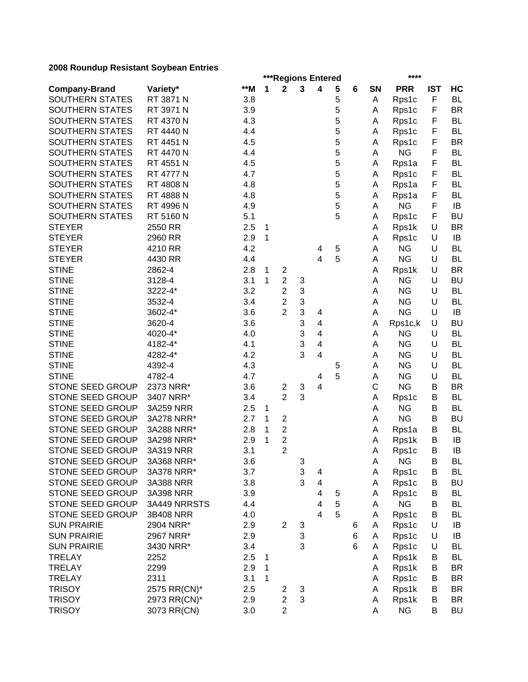| ***Regions Entered<br>$**M$<br>1<br>$\mathbf{2}$<br>3<br>5<br><b>PRR</b><br><b>IST</b><br>Variety*<br>4<br>6<br>SN<br><b>Company-Brand</b><br>5<br>$\mathsf F$<br>SOUTHERN STATES<br>RT 3871 N<br>3.8<br>Rps1c<br>Α<br>5<br>F<br>SOUTHERN STATES<br>RT 3971 N<br>3.9<br>Rps1c<br>A<br>5<br><b>SOUTHERN STATES</b><br>RT 4370 N<br>4.3<br>F<br>Rps1c<br>A<br>5<br>SOUTHERN STATES<br>F<br>RT 4440 N<br>4.4<br>Rps1c<br>Α<br>5<br>SOUTHERN STATES<br>RT 4451 N<br>F<br>4.5<br>Rps1c<br>Α<br>5<br><b>NG</b><br>F<br>SOUTHERN STATES<br>RT 4470 N<br>4.4<br>Α<br>5<br><b>SOUTHERN STATES</b><br>RT 4551 N<br>4.5<br>F<br>Rps1a<br>Α<br>5<br><b>SOUTHERN STATES</b><br>RT 4777 N<br>4.7<br>F<br>Rps1c<br>Α<br>5<br>SOUTHERN STATES<br>RT 4808 N<br>4.8<br>F<br>Α<br>Rps1a<br>5<br>SOUTHERN STATES<br>RT 4888 N<br>F<br>4.8<br>Rps1a<br>Α<br>5<br>SOUTHERN STATES<br>RT 4996 N<br><b>NG</b><br>4.9<br>F<br>Α<br>5<br>SOUTHERN STATES<br>RT 5160 N<br>5.1<br>Rps1c<br>F<br>Α<br><b>STEYER</b><br>2550 RR<br>2.5<br>U<br>1<br>А<br>Rps1k<br><b>STEYER</b><br>2.9<br>1<br>2960 RR<br>Rps1c<br>U<br>Α<br>4.2<br>5<br><b>NG</b><br><b>STEYER</b><br>4210 RR<br>А<br>U<br>4<br>5<br><b>NG</b><br><b>STEYER</b><br>4.4<br>4<br>U<br>4430 RR<br>А<br><b>STINE</b><br>2862-4<br>2.8<br>U<br>$\mathbf 1$<br>$\overline{\mathbf{c}}$<br>Rps1k<br>А<br>$\overline{c}$<br><b>NG</b><br><b>STINE</b><br>1<br>3<br>U<br>3128-4<br>3.1<br>А<br>$\overline{2}$<br>3<br><b>STINE</b><br>3222-4*<br>3.2<br><b>NG</b><br>U<br>А<br>3<br>$\overline{2}$<br><b>STINE</b><br>3532-4<br>3.4<br><b>NG</b><br>U<br>А<br>3<br>$\overline{2}$<br><b>NG</b><br>U<br><b>STINE</b><br>3602-4*<br>3.6<br>A<br>4<br>3<br><b>STINE</b><br>3620-4<br>$\overline{\mathbf{4}}$<br>U<br>3.6<br>Rps1c,k<br>Α<br>3<br><b>STINE</b><br>4020-4*<br>4.0<br>$\overline{4}$<br><b>NG</b><br>U<br>A<br>3<br><b>STINE</b><br>4182-4*<br>4.1<br>$\overline{\mathbf{4}}$<br><b>NG</b><br>U<br>Α<br>3<br><b>STINE</b><br>4282-4*<br>4.2<br>4<br><b>NG</b><br>U<br>A<br><b>STINE</b><br>4392-4<br><b>NG</b><br>U<br>4.3<br>5<br>Α | HC        |
|--------------------------------------------------------------------------------------------------------------------------------------------------------------------------------------------------------------------------------------------------------------------------------------------------------------------------------------------------------------------------------------------------------------------------------------------------------------------------------------------------------------------------------------------------------------------------------------------------------------------------------------------------------------------------------------------------------------------------------------------------------------------------------------------------------------------------------------------------------------------------------------------------------------------------------------------------------------------------------------------------------------------------------------------------------------------------------------------------------------------------------------------------------------------------------------------------------------------------------------------------------------------------------------------------------------------------------------------------------------------------------------------------------------------------------------------------------------------------------------------------------------------------------------------------------------------------------------------------------------------------------------------------------------------------------------------------------------------------------------------------------------------------------------------------------------------------------------------------------------------------------------------------------------------------------------------------------------------------------------------------------------------------------------------------------------------------|-----------|
|                                                                                                                                                                                                                                                                                                                                                                                                                                                                                                                                                                                                                                                                                                                                                                                                                                                                                                                                                                                                                                                                                                                                                                                                                                                                                                                                                                                                                                                                                                                                                                                                                                                                                                                                                                                                                                                                                                                                                                                                                                                                          |           |
|                                                                                                                                                                                                                                                                                                                                                                                                                                                                                                                                                                                                                                                                                                                                                                                                                                                                                                                                                                                                                                                                                                                                                                                                                                                                                                                                                                                                                                                                                                                                                                                                                                                                                                                                                                                                                                                                                                                                                                                                                                                                          | <b>BL</b> |
|                                                                                                                                                                                                                                                                                                                                                                                                                                                                                                                                                                                                                                                                                                                                                                                                                                                                                                                                                                                                                                                                                                                                                                                                                                                                                                                                                                                                                                                                                                                                                                                                                                                                                                                                                                                                                                                                                                                                                                                                                                                                          | <b>BR</b> |
|                                                                                                                                                                                                                                                                                                                                                                                                                                                                                                                                                                                                                                                                                                                                                                                                                                                                                                                                                                                                                                                                                                                                                                                                                                                                                                                                                                                                                                                                                                                                                                                                                                                                                                                                                                                                                                                                                                                                                                                                                                                                          | <b>BL</b> |
|                                                                                                                                                                                                                                                                                                                                                                                                                                                                                                                                                                                                                                                                                                                                                                                                                                                                                                                                                                                                                                                                                                                                                                                                                                                                                                                                                                                                                                                                                                                                                                                                                                                                                                                                                                                                                                                                                                                                                                                                                                                                          | <b>BL</b> |
|                                                                                                                                                                                                                                                                                                                                                                                                                                                                                                                                                                                                                                                                                                                                                                                                                                                                                                                                                                                                                                                                                                                                                                                                                                                                                                                                                                                                                                                                                                                                                                                                                                                                                                                                                                                                                                                                                                                                                                                                                                                                          | <b>BR</b> |
|                                                                                                                                                                                                                                                                                                                                                                                                                                                                                                                                                                                                                                                                                                                                                                                                                                                                                                                                                                                                                                                                                                                                                                                                                                                                                                                                                                                                                                                                                                                                                                                                                                                                                                                                                                                                                                                                                                                                                                                                                                                                          | <b>BL</b> |
|                                                                                                                                                                                                                                                                                                                                                                                                                                                                                                                                                                                                                                                                                                                                                                                                                                                                                                                                                                                                                                                                                                                                                                                                                                                                                                                                                                                                                                                                                                                                                                                                                                                                                                                                                                                                                                                                                                                                                                                                                                                                          | <b>BL</b> |
|                                                                                                                                                                                                                                                                                                                                                                                                                                                                                                                                                                                                                                                                                                                                                                                                                                                                                                                                                                                                                                                                                                                                                                                                                                                                                                                                                                                                                                                                                                                                                                                                                                                                                                                                                                                                                                                                                                                                                                                                                                                                          | <b>BL</b> |
|                                                                                                                                                                                                                                                                                                                                                                                                                                                                                                                                                                                                                                                                                                                                                                                                                                                                                                                                                                                                                                                                                                                                                                                                                                                                                                                                                                                                                                                                                                                                                                                                                                                                                                                                                                                                                                                                                                                                                                                                                                                                          | <b>BL</b> |
|                                                                                                                                                                                                                                                                                                                                                                                                                                                                                                                                                                                                                                                                                                                                                                                                                                                                                                                                                                                                                                                                                                                                                                                                                                                                                                                                                                                                                                                                                                                                                                                                                                                                                                                                                                                                                                                                                                                                                                                                                                                                          | BL        |
|                                                                                                                                                                                                                                                                                                                                                                                                                                                                                                                                                                                                                                                                                                                                                                                                                                                                                                                                                                                                                                                                                                                                                                                                                                                                                                                                                                                                                                                                                                                                                                                                                                                                                                                                                                                                                                                                                                                                                                                                                                                                          | IB        |
|                                                                                                                                                                                                                                                                                                                                                                                                                                                                                                                                                                                                                                                                                                                                                                                                                                                                                                                                                                                                                                                                                                                                                                                                                                                                                                                                                                                                                                                                                                                                                                                                                                                                                                                                                                                                                                                                                                                                                                                                                                                                          | <b>BU</b> |
|                                                                                                                                                                                                                                                                                                                                                                                                                                                                                                                                                                                                                                                                                                                                                                                                                                                                                                                                                                                                                                                                                                                                                                                                                                                                                                                                                                                                                                                                                                                                                                                                                                                                                                                                                                                                                                                                                                                                                                                                                                                                          | <b>BR</b> |
|                                                                                                                                                                                                                                                                                                                                                                                                                                                                                                                                                                                                                                                                                                                                                                                                                                                                                                                                                                                                                                                                                                                                                                                                                                                                                                                                                                                                                                                                                                                                                                                                                                                                                                                                                                                                                                                                                                                                                                                                                                                                          | IB        |
|                                                                                                                                                                                                                                                                                                                                                                                                                                                                                                                                                                                                                                                                                                                                                                                                                                                                                                                                                                                                                                                                                                                                                                                                                                                                                                                                                                                                                                                                                                                                                                                                                                                                                                                                                                                                                                                                                                                                                                                                                                                                          | <b>BL</b> |
|                                                                                                                                                                                                                                                                                                                                                                                                                                                                                                                                                                                                                                                                                                                                                                                                                                                                                                                                                                                                                                                                                                                                                                                                                                                                                                                                                                                                                                                                                                                                                                                                                                                                                                                                                                                                                                                                                                                                                                                                                                                                          | <b>BL</b> |
|                                                                                                                                                                                                                                                                                                                                                                                                                                                                                                                                                                                                                                                                                                                                                                                                                                                                                                                                                                                                                                                                                                                                                                                                                                                                                                                                                                                                                                                                                                                                                                                                                                                                                                                                                                                                                                                                                                                                                                                                                                                                          | <b>BR</b> |
|                                                                                                                                                                                                                                                                                                                                                                                                                                                                                                                                                                                                                                                                                                                                                                                                                                                                                                                                                                                                                                                                                                                                                                                                                                                                                                                                                                                                                                                                                                                                                                                                                                                                                                                                                                                                                                                                                                                                                                                                                                                                          | <b>BU</b> |
|                                                                                                                                                                                                                                                                                                                                                                                                                                                                                                                                                                                                                                                                                                                                                                                                                                                                                                                                                                                                                                                                                                                                                                                                                                                                                                                                                                                                                                                                                                                                                                                                                                                                                                                                                                                                                                                                                                                                                                                                                                                                          | <b>BL</b> |
|                                                                                                                                                                                                                                                                                                                                                                                                                                                                                                                                                                                                                                                                                                                                                                                                                                                                                                                                                                                                                                                                                                                                                                                                                                                                                                                                                                                                                                                                                                                                                                                                                                                                                                                                                                                                                                                                                                                                                                                                                                                                          | <b>BL</b> |
|                                                                                                                                                                                                                                                                                                                                                                                                                                                                                                                                                                                                                                                                                                                                                                                                                                                                                                                                                                                                                                                                                                                                                                                                                                                                                                                                                                                                                                                                                                                                                                                                                                                                                                                                                                                                                                                                                                                                                                                                                                                                          | IB        |
|                                                                                                                                                                                                                                                                                                                                                                                                                                                                                                                                                                                                                                                                                                                                                                                                                                                                                                                                                                                                                                                                                                                                                                                                                                                                                                                                                                                                                                                                                                                                                                                                                                                                                                                                                                                                                                                                                                                                                                                                                                                                          |           |
|                                                                                                                                                                                                                                                                                                                                                                                                                                                                                                                                                                                                                                                                                                                                                                                                                                                                                                                                                                                                                                                                                                                                                                                                                                                                                                                                                                                                                                                                                                                                                                                                                                                                                                                                                                                                                                                                                                                                                                                                                                                                          | <b>BU</b> |
|                                                                                                                                                                                                                                                                                                                                                                                                                                                                                                                                                                                                                                                                                                                                                                                                                                                                                                                                                                                                                                                                                                                                                                                                                                                                                                                                                                                                                                                                                                                                                                                                                                                                                                                                                                                                                                                                                                                                                                                                                                                                          | <b>BL</b> |
|                                                                                                                                                                                                                                                                                                                                                                                                                                                                                                                                                                                                                                                                                                                                                                                                                                                                                                                                                                                                                                                                                                                                                                                                                                                                                                                                                                                                                                                                                                                                                                                                                                                                                                                                                                                                                                                                                                                                                                                                                                                                          | <b>BL</b> |
|                                                                                                                                                                                                                                                                                                                                                                                                                                                                                                                                                                                                                                                                                                                                                                                                                                                                                                                                                                                                                                                                                                                                                                                                                                                                                                                                                                                                                                                                                                                                                                                                                                                                                                                                                                                                                                                                                                                                                                                                                                                                          | <b>BL</b> |
|                                                                                                                                                                                                                                                                                                                                                                                                                                                                                                                                                                                                                                                                                                                                                                                                                                                                                                                                                                                                                                                                                                                                                                                                                                                                                                                                                                                                                                                                                                                                                                                                                                                                                                                                                                                                                                                                                                                                                                                                                                                                          | <b>BL</b> |
| 5<br><b>STINE</b><br>4782-4<br><b>NG</b><br>U<br>4.7<br>4<br>Α                                                                                                                                                                                                                                                                                                                                                                                                                                                                                                                                                                                                                                                                                                                                                                                                                                                                                                                                                                                                                                                                                                                                                                                                                                                                                                                                                                                                                                                                                                                                                                                                                                                                                                                                                                                                                                                                                                                                                                                                           | <b>BL</b> |
| C<br>STONE SEED GROUP<br>2373 NRR*<br><b>NG</b><br>3.6<br>3<br>4<br>В<br>2                                                                                                                                                                                                                                                                                                                                                                                                                                                                                                                                                                                                                                                                                                                                                                                                                                                                                                                                                                                                                                                                                                                                                                                                                                                                                                                                                                                                                                                                                                                                                                                                                                                                                                                                                                                                                                                                                                                                                                                               | <b>BR</b> |
| $\overline{2}$<br>STONE SEED GROUP<br>3<br>3407 NRR*<br>3.4<br>В<br>Α<br>Rps1c                                                                                                                                                                                                                                                                                                                                                                                                                                                                                                                                                                                                                                                                                                                                                                                                                                                                                                                                                                                                                                                                                                                                                                                                                                                                                                                                                                                                                                                                                                                                                                                                                                                                                                                                                                                                                                                                                                                                                                                           | <b>BL</b> |
| STONE SEED GROUP<br><b>NG</b><br>3A259 NRR<br>А<br>В<br>2.5<br>1                                                                                                                                                                                                                                                                                                                                                                                                                                                                                                                                                                                                                                                                                                                                                                                                                                                                                                                                                                                                                                                                                                                                                                                                                                                                                                                                                                                                                                                                                                                                                                                                                                                                                                                                                                                                                                                                                                                                                                                                         | <b>BL</b> |
| <b>NG</b><br><b>STONE SEED GROUP</b><br>3A278 NRR*<br>2.7<br>1<br>$\overline{\mathbf{c}}$<br>A<br>В                                                                                                                                                                                                                                                                                                                                                                                                                                                                                                                                                                                                                                                                                                                                                                                                                                                                                                                                                                                                                                                                                                                                                                                                                                                                                                                                                                                                                                                                                                                                                                                                                                                                                                                                                                                                                                                                                                                                                                      | <b>BU</b> |
| STONE SEED GROUP<br>$\overline{\mathbf{c}}$<br>B<br>3A288 NRR*<br>2.8<br>1<br>Α<br>Rps1a                                                                                                                                                                                                                                                                                                                                                                                                                                                                                                                                                                                                                                                                                                                                                                                                                                                                                                                                                                                                                                                                                                                                                                                                                                                                                                                                                                                                                                                                                                                                                                                                                                                                                                                                                                                                                                                                                                                                                                                 | <b>BL</b> |
| $\overline{\mathbf{c}}$<br>STONE SEED GROUP<br>2.9<br>1<br>3A298 NRR*<br>Rps1k<br>В<br>Α                                                                                                                                                                                                                                                                                                                                                                                                                                                                                                                                                                                                                                                                                                                                                                                                                                                                                                                                                                                                                                                                                                                                                                                                                                                                                                                                                                                                                                                                                                                                                                                                                                                                                                                                                                                                                                                                                                                                                                                 | IB        |
| $\overline{2}$<br>STONE SEED GROUP<br>3A319 NRR<br>3.1<br>Rps1c<br>В<br>Α                                                                                                                                                                                                                                                                                                                                                                                                                                                                                                                                                                                                                                                                                                                                                                                                                                                                                                                                                                                                                                                                                                                                                                                                                                                                                                                                                                                                                                                                                                                                                                                                                                                                                                                                                                                                                                                                                                                                                                                                | IB        |
| STONE SEED GROUP<br>3.6<br>3<br><b>NG</b><br>B<br>3A368 NRR*<br>A                                                                                                                                                                                                                                                                                                                                                                                                                                                                                                                                                                                                                                                                                                                                                                                                                                                                                                                                                                                                                                                                                                                                                                                                                                                                                                                                                                                                                                                                                                                                                                                                                                                                                                                                                                                                                                                                                                                                                                                                        | <b>BL</b> |
| 3<br>STONE SEED GROUP<br>3A378 NRR*<br>3.7<br>4<br>Α<br>Rps1c<br>В                                                                                                                                                                                                                                                                                                                                                                                                                                                                                                                                                                                                                                                                                                                                                                                                                                                                                                                                                                                                                                                                                                                                                                                                                                                                                                                                                                                                                                                                                                                                                                                                                                                                                                                                                                                                                                                                                                                                                                                                       | BL        |
| 3<br>STONE SEED GROUP<br>3.8<br>$\overline{\mathbf{4}}$<br>3A388 NRR<br>Rps1c<br>Α<br>В                                                                                                                                                                                                                                                                                                                                                                                                                                                                                                                                                                                                                                                                                                                                                                                                                                                                                                                                                                                                                                                                                                                                                                                                                                                                                                                                                                                                                                                                                                                                                                                                                                                                                                                                                                                                                                                                                                                                                                                  | <b>BU</b> |
| STONE SEED GROUP<br>3.9<br>3A398 NRR<br>4<br>Rps1c<br>В<br>5<br>Α                                                                                                                                                                                                                                                                                                                                                                                                                                                                                                                                                                                                                                                                                                                                                                                                                                                                                                                                                                                                                                                                                                                                                                                                                                                                                                                                                                                                                                                                                                                                                                                                                                                                                                                                                                                                                                                                                                                                                                                                        | <b>BL</b> |
| 5<br><b>NG</b><br>STONE SEED GROUP<br>4.4<br>3A449 NRRSTS<br>4<br>В<br>Α                                                                                                                                                                                                                                                                                                                                                                                                                                                                                                                                                                                                                                                                                                                                                                                                                                                                                                                                                                                                                                                                                                                                                                                                                                                                                                                                                                                                                                                                                                                                                                                                                                                                                                                                                                                                                                                                                                                                                                                                 | BL        |
| 5<br>$\overline{4}$<br>STONE SEED GROUP<br>4.0<br>3B408 NRR<br>Rps1c<br>B<br>Α                                                                                                                                                                                                                                                                                                                                                                                                                                                                                                                                                                                                                                                                                                                                                                                                                                                                                                                                                                                                                                                                                                                                                                                                                                                                                                                                                                                                                                                                                                                                                                                                                                                                                                                                                                                                                                                                                                                                                                                           | BL        |
| <b>SUN PRAIRIE</b><br>2.9<br>$\mathbf{2}$<br>2904 NRR*<br>Rps1c<br>U<br>A<br>3<br>6                                                                                                                                                                                                                                                                                                                                                                                                                                                                                                                                                                                                                                                                                                                                                                                                                                                                                                                                                                                                                                                                                                                                                                                                                                                                                                                                                                                                                                                                                                                                                                                                                                                                                                                                                                                                                                                                                                                                                                                      | IB        |
| 3<br><b>SUN PRAIRIE</b><br>U<br>2967 NRR*<br>2.9<br>6<br>Rps1c<br>Α                                                                                                                                                                                                                                                                                                                                                                                                                                                                                                                                                                                                                                                                                                                                                                                                                                                                                                                                                                                                                                                                                                                                                                                                                                                                                                                                                                                                                                                                                                                                                                                                                                                                                                                                                                                                                                                                                                                                                                                                      | IB        |
| 3<br><b>SUN PRAIRIE</b><br>3430 NRR*<br>3.4<br>6<br>Rps1c<br>U<br>A                                                                                                                                                                                                                                                                                                                                                                                                                                                                                                                                                                                                                                                                                                                                                                                                                                                                                                                                                                                                                                                                                                                                                                                                                                                                                                                                                                                                                                                                                                                                                                                                                                                                                                                                                                                                                                                                                                                                                                                                      | BL        |
| 2.5<br><b>TRELAY</b><br>2252<br>Rps1k<br>$\mathbf 1$<br>В<br>A                                                                                                                                                                                                                                                                                                                                                                                                                                                                                                                                                                                                                                                                                                                                                                                                                                                                                                                                                                                                                                                                                                                                                                                                                                                                                                                                                                                                                                                                                                                                                                                                                                                                                                                                                                                                                                                                                                                                                                                                           | BL        |
| 2299<br>2.9<br><b>TRELAY</b><br>Rps1k<br>1<br>в<br>A                                                                                                                                                                                                                                                                                                                                                                                                                                                                                                                                                                                                                                                                                                                                                                                                                                                                                                                                                                                                                                                                                                                                                                                                                                                                                                                                                                                                                                                                                                                                                                                                                                                                                                                                                                                                                                                                                                                                                                                                                     | <b>BR</b> |
| <b>TRELAY</b><br>2311<br>3.1<br>$\mathbf 1$<br>Rps1c<br>Α<br>в                                                                                                                                                                                                                                                                                                                                                                                                                                                                                                                                                                                                                                                                                                                                                                                                                                                                                                                                                                                                                                                                                                                                                                                                                                                                                                                                                                                                                                                                                                                                                                                                                                                                                                                                                                                                                                                                                                                                                                                                           | <b>BR</b> |
| <b>TRISOY</b><br>2575 RR(CN)*<br>2.5<br>Rps1k<br>В<br>$\overline{\mathbf{c}}$<br>3<br>Α                                                                                                                                                                                                                                                                                                                                                                                                                                                                                                                                                                                                                                                                                                                                                                                                                                                                                                                                                                                                                                                                                                                                                                                                                                                                                                                                                                                                                                                                                                                                                                                                                                                                                                                                                                                                                                                                                                                                                                                  | <b>BR</b> |
| $\overline{2}$<br>3<br><b>TRISOY</b><br>2973 RR(CN)*<br>2.9<br>Rps1k<br>B<br>Α                                                                                                                                                                                                                                                                                                                                                                                                                                                                                                                                                                                                                                                                                                                                                                                                                                                                                                                                                                                                                                                                                                                                                                                                                                                                                                                                                                                                                                                                                                                                                                                                                                                                                                                                                                                                                                                                                                                                                                                           | <b>BR</b> |
| $\overline{2}$<br><b>TRISOY</b><br>3073 RR(CN)<br><b>NG</b><br>3.0<br>В<br>Α                                                                                                                                                                                                                                                                                                                                                                                                                                                                                                                                                                                                                                                                                                                                                                                                                                                                                                                                                                                                                                                                                                                                                                                                                                                                                                                                                                                                                                                                                                                                                                                                                                                                                                                                                                                                                                                                                                                                                                                             | BU        |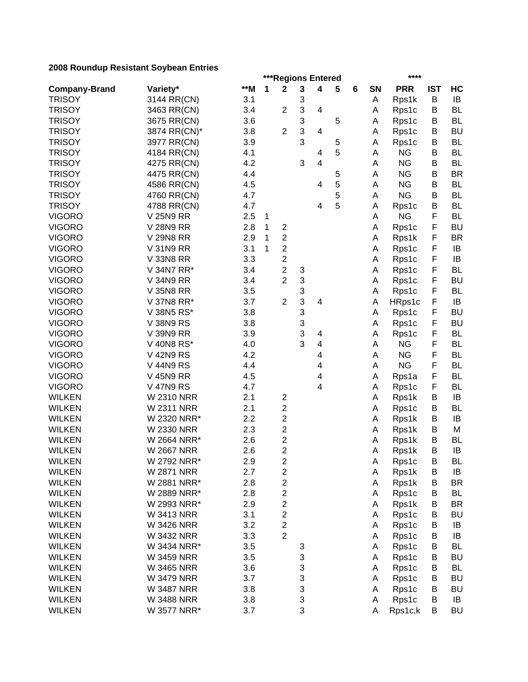|                      |                   |     |   | ***Regions Entered      |   |   |   |   |    | ****       |            |           |
|----------------------|-------------------|-----|---|-------------------------|---|---|---|---|----|------------|------------|-----------|
| <b>Company-Brand</b> | Variety*          | **M | 1 | $\mathbf{2}$            | 3 | 4 | 5 | 6 | SN | <b>PRR</b> | <b>IST</b> | HC        |
| <b>TRISOY</b>        | 3144 RR(CN)       | 3.1 |   |                         | 3 |   |   |   | Α  | Rps1k      | B          | IB        |
| <b>TRISOY</b>        | 3463 RR(CN)       | 3.4 |   | $\mathbf{2}$            | 3 | 4 |   |   | Α  | Rps1c      | B          | <b>BL</b> |
| <b>TRISOY</b>        | 3675 RR(CN)       | 3.6 |   |                         | 3 |   | 5 |   | Α  | Rps1c      | B          | <b>BL</b> |
| <b>TRISOY</b>        | 3874 RR(CN)*      | 3.8 |   | $\overline{2}$          | 3 | 4 |   |   | A  | Rps1c      | B          | <b>BU</b> |
| <b>TRISOY</b>        | 3977 RR(CN)       | 3.9 |   |                         | 3 |   | 5 |   | Α  | Rps1c      | B          | <b>BL</b> |
| <b>TRISOY</b>        | 4184 RR(CN)       | 4.1 |   |                         |   | 4 | 5 |   | Α  | <b>NG</b>  | B          | <b>BL</b> |
| <b>TRISOY</b>        | 4275 RR(CN)       | 4.2 |   |                         | 3 | 4 |   |   | Α  | <b>NG</b>  | B          | <b>BL</b> |
| <b>TRISOY</b>        | 4475 RR(CN)       | 4.4 |   |                         |   |   | 5 |   | Α  | <b>NG</b>  | B          | <b>BR</b> |
| <b>TRISOY</b>        | 4586 RR(CN)       | 4.5 |   |                         |   | 4 | 5 |   | Α  | <b>NG</b>  | B          | <b>BL</b> |
| <b>TRISOY</b>        | 4760 RR(CN)       | 4.7 |   |                         |   |   | 5 |   | A  | <b>NG</b>  | В          | <b>BL</b> |
| <b>TRISOY</b>        | 4788 RR(CN)       | 4.7 |   |                         |   | 4 | 5 |   | Α  | Rps1c      | B          | <b>BL</b> |
| <b>VIGORO</b>        | <b>V 25N9 RR</b>  | 2.5 | 1 |                         |   |   |   |   | A  | <b>NG</b>  | F          | <b>BL</b> |
| <b>VIGORO</b>        | <b>V 28N9 RR</b>  | 2.8 | 1 | $\overline{\mathbf{c}}$ |   |   |   |   | Α  | Rps1c      | F          | <b>BU</b> |
| <b>VIGORO</b>        | <b>V 29N8 RR</b>  | 2.9 | 1 | $\overline{c}$          |   |   |   |   | Α  | Rps1k      | F          | <b>BR</b> |
| <b>VIGORO</b>        | <b>V 31N9 RR</b>  | 3.1 | 1 | $\overline{c}$          |   |   |   |   | Α  | Rps1c      | F          | IB        |
| <b>VIGORO</b>        | <b>V 33N8 RR</b>  | 3.3 |   | $\boldsymbol{2}$        |   |   |   |   | Α  | Rps1c      | F          | IB        |
|                      | V 34N7 RR*        |     |   | $\overline{c}$          |   |   |   |   |    |            | F          | <b>BL</b> |
| <b>VIGORO</b>        |                   | 3.4 |   | $\overline{2}$          | 3 |   |   |   | А  | Rps1c      |            |           |
| <b>VIGORO</b>        | <b>V 34N9 RR</b>  | 3.4 |   |                         | 3 |   |   |   | А  | Rps1c      | F          | <b>BU</b> |
| <b>VIGORO</b>        | <b>V 35N8 RR</b>  | 3.5 |   |                         | 3 |   |   |   | Α  | Rps1c      | F          | <b>BL</b> |
| <b>VIGORO</b>        | V 37N8 RR*        | 3.7 |   | $\overline{2}$          | 3 | 4 |   |   | Α  | HRps1c     | F          | IB        |
| <b>VIGORO</b>        | V 38N5 RS*        | 3.8 |   |                         | 3 |   |   |   | Α  | Rps1c      | F          | <b>BU</b> |
| <b>VIGORO</b>        | <b>V 38N9 RS</b>  | 3.8 |   |                         | 3 |   |   |   | Α  | Rps1c      | F          | <b>BU</b> |
| <b>VIGORO</b>        | <b>V 39N9 RR</b>  | 3.9 |   |                         | 3 | 4 |   |   | Α  | Rps1c      | F          | <b>BL</b> |
| <b>VIGORO</b>        | V 40N8 RS*        | 4.0 |   |                         | 3 | 4 |   |   | Α  | <b>NG</b>  | F          | <b>BL</b> |
| <b>VIGORO</b>        | <b>V 42N9 RS</b>  | 4.2 |   |                         |   | 4 |   |   | А  | <b>NG</b>  | F          | BL        |
| <b>VIGORO</b>        | <b>V 44N9 RS</b>  | 4.4 |   |                         |   | 4 |   |   | Α  | <b>NG</b>  | F          | BL        |
| <b>VIGORO</b>        | <b>V 45N9 RR</b>  | 4.5 |   |                         |   | 4 |   |   | Α  | Rps1a      | F          | BL        |
| <b>VIGORO</b>        | <b>V 47N9 RS</b>  | 4.7 |   |                         |   | 4 |   |   | Α  | Rps1c      | F          | <b>BL</b> |
| <b>WILKEN</b>        | <b>W 2310 NRR</b> | 2.1 |   | $\overline{\mathbf{c}}$ |   |   |   |   | A  | Rps1k      | B          | IB        |
| <b>WILKEN</b>        | <b>W 2311 NRR</b> | 2.1 |   | $\overline{c}$          |   |   |   |   | Α  | Rps1c      | В          | <b>BL</b> |
| <b>WILKEN</b>        | W 2320 NRR*       | 2.2 |   | 2                       |   |   |   |   | Α  | Rps1k      | B          | IB        |
| <b>WILKEN</b>        | W 2330 NRR        | 2.3 |   | $\overline{c}$          |   |   |   |   | A  | Rps1k      | B          | M         |
| <b>WILKEN</b>        | W 2664 NRR*       | 2.6 |   | $\overline{\mathbf{c}}$ |   |   |   |   | Α  | Rps1k      | B          | <b>BL</b> |
| <b>WILKEN</b>        | <b>W 2667 NRR</b> | 2.6 |   | 2                       |   |   |   |   | Α  | Rps1k      | B          | IB        |
| <b>WILKEN</b>        | W 2792 NRR*       | 2.9 |   | $\overline{\mathbf{c}}$ |   |   |   |   | Α  | Rps1c      | B          | BL        |
| <b>WILKEN</b>        | <b>W 2871 NRR</b> | 2.7 |   | $\overline{\mathbf{c}}$ |   |   |   |   | Α  | Rps1k      | В          | IB        |
| <b>WILKEN</b>        | W 2881 NRR*       | 2.8 |   | $\overline{\mathbf{c}}$ |   |   |   |   | A  | Rps1k      | B          | <b>BR</b> |
| <b>WILKEN</b>        | W 2889 NRR*       | 2.8 |   | $\overline{\mathbf{c}}$ |   |   |   |   | Α  | Rps1c      | В          | <b>BL</b> |
| <b>WILKEN</b>        | W 2993 NRR*       | 2.9 |   | $\overline{\mathbf{c}}$ |   |   |   |   | Α  | Rps1k      | B          | <b>BR</b> |
| <b>WILKEN</b>        | W 3413 NRR        | 3.1 |   | $\overline{\mathbf{c}}$ |   |   |   |   | Α  | Rps1c      | B          | <b>BU</b> |
| <b>WILKEN</b>        | W 3426 NRR        | 3.2 |   | $\overline{\mathbf{c}}$ |   |   |   |   | A  | Rps1c      | B          | IB        |
| <b>WILKEN</b>        | W 3432 NRR        | 3.3 |   | $\overline{2}$          |   |   |   |   | Α  | Rps1c      | B          | IB        |
| <b>WILKEN</b>        | W 3434 NRR*       | 3.5 |   |                         | 3 |   |   |   | Α  | Rps1c      | B          | BL        |
| <b>WILKEN</b>        | W 3459 NRR        | 3.5 |   |                         | 3 |   |   |   | A  | Rps1c      | B          | <b>BU</b> |
|                      | <b>W 3465 NRR</b> |     |   |                         |   |   |   |   |    |            |            |           |
| <b>WILKEN</b>        |                   | 3.6 |   |                         | 3 |   |   |   | A  | Rps1c      | В          | BL        |
| <b>WILKEN</b>        | <b>W 3479 NRR</b> | 3.7 |   |                         | 3 |   |   |   | A  | Rps1c      | В          | <b>BU</b> |
| <b>WILKEN</b>        | <b>W 3487 NRR</b> | 3.8 |   |                         | 3 |   |   |   | Α  | Rps1c      | B          | <b>BU</b> |
| <b>WILKEN</b>        | <b>W 3488 NRR</b> | 3.8 |   |                         | 3 |   |   |   | A  | Rps1c      | B          | IB        |
| <b>WILKEN</b>        | W 3577 NRR*       | 3.7 |   |                         | 3 |   |   |   | A  | Rps1c,k    | B          | BU        |